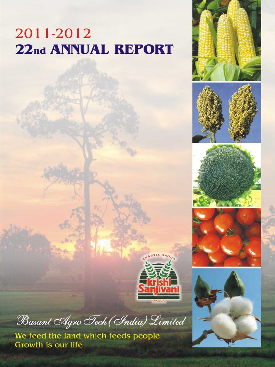# 2011-2012 22nd ANNUAL REPORT













Basant Agro Tech (India) Limited

We feed the land which feeds people<br>Growth is our life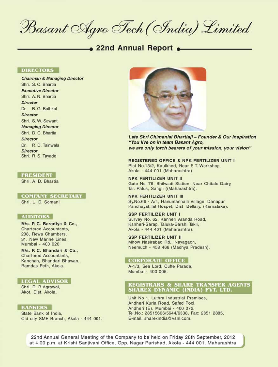Basant Agro Tech (India) Limited

#### 22nd Annual Report .

#### **DIRECTORS**

**Chairman & Managing Director** Shri, S. C. Bhartia **Executive Director** Shri. A. N. Bhartia **Director** Dr. B. G. Bathkal **Director** Shri. S. W. Sawant **Managing Director** Shri, D. C. Bhartia Director Dr. R. D. Tainwala **Director** Shri. R. S. Tayade

#### **PRESIDENT**

Shri, A. D. Bhartia

#### **COMPANY SECRETARY**

Shri, U. D. Somani

#### **AUDITORS**

M/s. P. C. Baradiya & Co., **Chartered Accountants.** 208. Rewa Chambers. 31. New Marine Lines. Mumbai - 400 020

M/s. P. C. Bhandari & Co., **Chartered Accountants.** Kanchan, Bhandari Bhawan, Ramdas Peth, Akola.

#### **LEGAL ADVISOR**

Shri, R. B.Agrawal, Akot, Dist, Akola.

#### **BANKERS**

State Bank of India, Old city SME Branch, Akola - 444 001.



Late Shri Chimanlal Bhartiaji - Founder & Our inspiration "You live on in team Basant Agro, we are only torch bearers of your mission, your vision"

**REGISTERED OFFICE & NPK FERTILIZER UNIT I** Plot No.13/2, Kaulkhed, Near S.T. Workshop, Akola - 444 001 (Maharashtra).

**NPK FERTILIZER UNIT II** Gate No. 76, Bhilwadi Station, Near Chitale Dairy. Tal. Palus, Sangli ((Maharashtra).

#### **NPK FERTILIZER UNIT III** Sv.No.66 - A/4. Hanumanhalli Village. Danapur Panchayat, Tal Hospet, Dist Bellary, (Karnataka).

**SSP FERTILIZER UNIT I** Survey No. 62, Kanheri Aranda Road. Kanheri-Sarap, Taluka-Barshi Takli, Akola - 444 401 (Maharashtra).

#### **SSP FERTILIZER UNIT II**

Mhow Nasirabad Rd., Nayagaon, Neemuch - 458 468 (Madhya Pradesh).

#### **CORPORATE OFFICE**

A-1/3, Sea Lord, Cuffe Parade, Mumbai - 400 005.

#### **REGISTRARS & SHARE TRANSFER AGENTS** SHAREX DYNAMIC (INDIA) PVT. LTD.

Unit No 1, Luthra Industrial Premises, Andheri Kurla Road, Safed Pool, Andheri (E), Mumbai - 400 072. Tel.No.: 28515606/5644/6338, Fax: 2851 2885, E-mail: sharexindia@vsnl.com.

22nd Annual General Meeting of the Company to be held on Friday 28th September, 2012 at 4.00 p.m. at Krishi Sanjivani Office, Opp. Nagar Parishad, Akola - 444 001, Maharashtra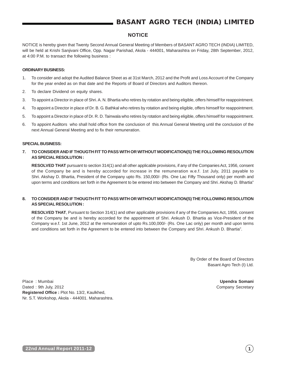# **BASANT AGRO TECH (INDIA) LIMITED**

## **NOTICE**

NOTICE is hereby given that Twenty Second Annual General Meeting of Members of BASANT AGRO TECH (INDIA) LIMITED, will be held at Krishi Sanjivani Office, Opp. Nagar Parishad, Akola - 444001, Maharashtra on Friday, 28th September, 2012, at 4:00 P.M. to transact the following business :

#### **ORDINARY BUSINESS:**

- 1. To consider and adopt the Audited Balance Sheet as at 31st March, 2012 and the Profit and Loss Account of the Company for the year ended as on that date and the Reports of Board of Directors and Auditors thereon.
- 2. To declare Dividend on equity shares.
- 3. To appoint a Director in place of Shri. A. N. Bhartia who retires by rotation and being eligible, offers himself for reappointment.
- 4. To appoint a Director in place of Dr. B. G. Bathkal who retires by rotation and being eligible, offers himself for reappointment.
- 5. To appoint a Director in place of Dr. R. D. Tainwala who retires by rotation and being eligible, offers himself for reappointment.
- 6. To appoint Auditors who shall hold office from the conclusion of this Annual General Meeting until the conclusion of the next Annual General Meeting and to fix their remuneration.

#### **SPECIAL BUSINESS:**

**7. TO CONSIDER AND IF THOUGTH FIT TO PASS WITH OR WITHOUT MODIFICATION(S) THE FOLLOWING RESOLUTION AS SPECIAL RESOLUTION :**

**RESOLVED THAT** pursuant to section 314(1) and all other applicable provisions, if any of the Companies Act, 1956, consent of the Company be and is hereby accorded for increase in the remuneration w.e.f. 1st July, 2011 payable to Shri. Akshay D. Bhartia, President of the Company upto Rs. 150,000/- (Rs. One Lac Fifty Thousand only) per month and upon terms and conditions set forth in the Agreement to be entered into between the Company and Shri. Akshay D. Bhartia"

### **8. TO CONSIDER AND IF THOUGTH FIT TO PASS WITH OR WITHOUT MODIFICATION(S) THE FOLLOWING RESOLUTION AS SPECIAL RESOLUTION :**

**RESOLVED THAT**, Pursuant to Section 314(1) and other applicable provisions if any of the Companies Act, 1956, consent of the Company be and is hereby accorded for the appointment of Shri. Ankush D. Bhartia as Vice-President of the Company w.e.f. 1st June, 2012 at the remuneration of upto Rs.100,000/- (Rs. One Lac only) per month and upon terms and conditions set forth in the Agreement to be entered into between the Company and Shri. Ankush D. Bhartia".

> By Order of the Board of Directors Basant Agro Tech (I) Ltd.

Place : Mumbai **Upendra Somani** Dated : 9th July, 2012 Company Secretary **Registered Office :** Plot No. 13/2, Kaulkhed, Nr. S.T. Workshop, Akola - 444001. Maharashtra.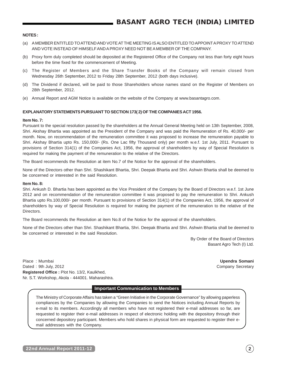#### **NOTES :**

- (a) A MEMBER ENTITLED TO ATTEND AND VOTE AT THE MEETING IS ALSO ENTITLED TO APPOINT A PROXY TO ATTEND AND VOTE INSTEAD OF HIMSELF AND A PROXY NEED NOT BE A MEMBER OF THE COMPANY.
- (b) Proxy form duly completed should be deposited at the Registered Office of the Company not less than forty eight hours before the time fixed for the commencement of Meeting.
- (c) The Register of Members and the Share Transfer Books of the Company will remain closed from Wednesday 26th September, 2012 to Friday 28th September, 2012 (both days inclusive).
- (d) The Dividend if declared, will be paid to those Shareholders whose names stand on the Register of Members on 28th September, 2012.
- (e) Annual Report and AGM Notice is available on the website of the Company at www.basantagro.com.

#### **EXPLANATORY STATEMENTS PURSUANT TO SECTION 173( 2) OF THE COMPANIES ACT 1956.**

#### **Item No. 7:**

Pursuant to the special resolution passed by the shareholders at the Annual General Meeting held on 13th September, 2008, Shri. Akshay Bhartia was appointed as the President of the Company and was paid the Remuneration of Rs. 40,000/- per month. Now, on recommendation of the remuneration committee it was proposed to increase the remuneration payable to Shri. Akshay Bhartia upto Rs. 150,000/- (Rs. One Lac fifty Thousand only) per month w.e.f. 1st July, 2011. Pursuant to provisions of Section 314(1) of the Companies Act, 1956, the approval of shareholders by way of Special Resolution is required for making the payment of the remuneration to the relative of the Directors.

The Board recommends the Resolution at item No.7 of the Notice for the approval of the shareholders.

None of the Directors other than Shri. Shashikant Bhartia, Shri. Deepak Bhartia and Shri. Ashwin Bhartia shall be deemed to be concerned or interested in the said Resolution.

#### **Item No. 8:**

Shri. Ankush D. Bhartia has been appointed as the Vice President of the Company by the Board of Directors w.e.f. 1st June 2012 and on recommendation of the remuneration committee it was proposed to pay the remuneration to Shri. Ankush Bhartia upto Rs.100,000/- per month. Pursuant to provisions of Section 314(1) of the Companies Act, 1956, the approval of shareholders by way of Special Resolution is required for making the payment of the remuneration to the relative of the Directors.

The Board recommends the Resolution at item No.8 of the Notice for the approval of the shareholders.

None of the Directors other than Shri. Shashikant Bhartia, Shri. Deepak Bhartia and Shri. Ashwin Bhartia shall be deemed to be concerned or interested in the said Resolution.

> By Order of the Board of Directors Basant Agro Tech (I) Ltd.

Place : Mumbai **Upendra Somani** Dated : 9th July, 2012 Company Secretary **Registered Office :** Plot No. 13/2, Kaulkhed, Nr. S.T. Workshop, Akola - 444001. Maharashtra.

#### **Important Communication to Members**

The Ministry of Corporate Affairs has taken a "Green Initiative in the Corporate Governance" by allowing paperless compliances by the Companies by allowing the Companies to send the Notices including Annual Reports by e-mail to its members. Accordingly all members who have not registered their e-mail addresses so far, are requested to register their e-mail addresses in respect of electronic holding with the depository through their concerned depository participant. Members who hold shares in physical form are requested to register their email addresses with the Company.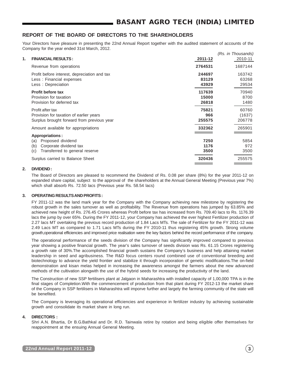## **REPORT OF THE BOARD OF DIRECTORS TO THE SHAREHOLDERS**

Your Directors have pleasure in presenting the 22nd Annual Report together with the audited statement of accounts of the Company for the year ended 31st March, 2012.

|    |                                              |         | (Rs. in Thousands) |
|----|----------------------------------------------|---------|--------------------|
| 1. | <b>FINANCIAL RESULTS:</b>                    | 2011-12 | 2010-11            |
|    | Revenue from operations                      | 2764531 | 1687144            |
|    | Profit before interest, depreciation and tax | 244697  | 163742             |
|    | Less: Financial expenses                     | 83129   | 63268              |
|    | Less: Depreciation                           | 43929   | 29534              |
|    | <b>Profit before tax</b>                     | 117639  | 70940              |
|    | Provision for taxation                       | 15000   | 8700               |
|    | Provision for deferred tax                   | 26818   | 1480               |
|    | Profit after tax                             | 75821   | 60760              |
|    | Provision for taxation of earlier years      | 966     | (1637)             |
|    | Surplus brought forward from previous year   | 255575  | 206778             |
|    | Amount available for appropriations          | 332362  | 265901             |
|    | <b>Appropriations:</b>                       |         |                    |
|    | Proposed dividend<br>(a)                     | 7250    | 5854               |
|    | Corporate dividend tax<br>(b)                | 1176    | 972                |
|    | Transferred to general reserve<br>(c)        | 3500    | 3500               |
|    | Surplus carried to Balance Sheet             | 320436  | 255575             |
|    |                                              |         |                    |

### **2. DIVIDEND :**

The Board of Directors are pleased to recommend the Dividend of Rs. 0.08 per share (8%) for the year 2011-12 on expanded share capital, subject to the approval of the shareholders at the Annual General Meeting (Previous year 7%) which shall absorb Rs. 72.50 lacs (Previous year Rs. 58.54 lacs)

#### **3. OPERATING RESULTS AND PROFITS :**

FY 2011-12 was the land mark year for the Company with the Company achieving new milestone by registering the robust growth in the sales turnover as well as profitability. The Revenue from operations has jumped by 63.85% and achieved new height of Rs. 276.45 Crores whereas Profit before tax has increased from Rs. 709.40 lacs to Rs. 1176.39 lacs the jump by over 65%. During the FY 2011-12, your Company has achieved the ever highest Fertilizer production of 2.27 lacs MT overtaking the previous record production of 1.84 Lacs MTs. The sale of Fertilizer for the FY 2011-12 was 2.49 Lacs MT as compared to 1.71 Lacs MTs during the FY 2010-11 thus registering 45% growth. Strong volume growth,operational efficiencies and improved price realisation were the key factors behind the record performance of the company.

The operational performance of the seeds division of the Company has significantly improved compared to previous year showing a positive financial growth. The year's sales turnover of seeds division was Rs. 61.15 Crores registering a growth rate of 30%.The accomplished financial growth sustains the Company's business and help attaining market leadership in seed and agribusiness. The R&D focus centers round combined use of conventional breeding and biotechnology to advance the yield frontier and stabilize it through incorporation of genetic modifications.The on-field demonstration and kisan melas helped in increasing the awareness amongst the farmers about the new advanced methods of the cultivation alongwith the use of the hybrid seeds for increasing the productivity of the land.

The Construction of new SSP fertilisers plant at Jalgaon in Maharashtra with installed capacity of 1,00,000 TPA is in the final stages of Completion.With the commencement of production from that plant during FY 2012-13 the market share of the Company in SSP fertilisers in Maharashtra will imporve further and largely the farming community of the state will be benefited.

The Company is leveraging its operational efficiencies and experience in fertilizer industry by achieving sustainable growth and consolidate its market share in long run.

## **4. DIRECTORS :**

Shri A.N. Bhartia, Dr B.G.Bathkal and Dr. R.D. Tainwala retire by rotation and being eligible offer themselves for reappointment at the ensuing Annual General Meeting.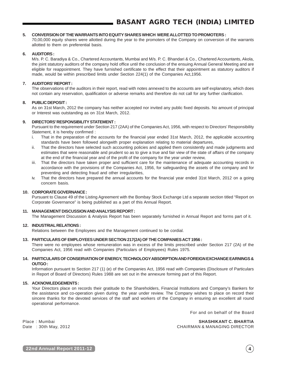## **5. CONVERSION OF THE WARRANTS INTO EQUITY SHARES WHICH WERE ALLOTTED TO PROMOTERS :**

70,00,000 equity shares were allotted during the year to the promoters of the Company on conversion of the warrants allotted to them on preferential basis.

### **6. AUDITORS :**

M/s. P. C. Baradiya & Co., Chartered Accountants, Mumbai and M/s. P. C. Bhandari & Co., Chartered Accountants, Akola, the joint statutory auditors of the company hold office until the conclusion of the ensuing Annual General Meeting and are eligible for reappointment. They have furnished certificate to the effect that their appointment as statutory auditors if made, would be within prescribed limits under Section 224(1) of the Companies Act,1956.

#### **7. AUDITORS' REPORT :**

The observations of the auditors in their report, read with notes annexed to the accounts are self explanatory, which does not contain any reservation, qualification or adverse remarks and therefore do not call for any further clarification.

#### **8. PUBLIC DEPOSIT :**

As on 31st March, 2012 the company has neither accepted nor invited any public fixed deposits. No amount of principal or Interest was outstanding as on 31st March, 2012.

### **9. DIRECTORS' RESPONSIBILITY STATEMENT :**

Pursuant to the requirement under Section 217 (2AA) of the Companies Act, 1956, with respect to Directors' Responsibility Statement, it is hereby confirmed :

- i. That in the preparation of the accounts for the financial year ended 31st March, 2012, the applicable accounting standards have been followed alongwith proper explanation relating to material departures,
- ii. That the directors have selected such accounting policies and applied them consistently and made judgments and estimates that were reasonable and prudent so as to give a true and fair view of the state of affairs of the company at the end of the financial year and of the profit of the company for the year under review,
- iii. That the directors have taken proper and sufficient care for the maintenance of adequate accounting records in accordance with the provisions of the Companies Act, 1956, for safeguarding the assets of the company and for preventing and detecting fraud and other irregularities,
- iv. That the directors have prepared the annual accounts for the financial year ended 31st March, 2012 on a going concern basis.

#### **10. CORPORATE GOVERNANCE :**

Pursuant to Clause 49 of the Listing Agreement with the Bombay Stock Exchange Ltd a separate section titled "Report on Corporate Governance" is being published as a part of this Annual Report.

#### **11. MANAGEMENT DISCUSSION AND ANALYSIS REPORT:**

The Management Discussion & Analysis Report has been separately furnished in Annual Report and forms part of it.

### **12. INDUSTRIAL RELATIONS :**

Relations between the Employees and the Management continued to be cordial.

#### **13. PARTICULARS OF EMPLOYEES UNDER SECTION 217(2A) OF THE COMPANIES ACT 1956 :**

There were no employees whose remuneration was in excess of the limits prescribed under Section 217 (2A) of the Companies Act, 1956 read with Companies (Particulars of Employees) Rules 1975.

### **14. PARTICULARS OF CONSERVATION OF ENERGY, TECHNOLOGY ABSORPTION AND FOREIGN EXCHANGE EARNINGS & OUTGO :**

Information pursuant to Section 217 (1) (e) of the Companies Act, 1956 read with Companies (Disclosure of Particulars in Report of Board of Directors) Rules 1988 are set out in the annexure forming part of this Report.

### **15. ACKNOWLEDGEMENTS :**

Your Directors place on records their gratitude to the Shareholders, Financial Institutions and Company's Bankers for the assistance and co-operation given during the year under review. The Company wishes to place on record their sincere thanks for the devoted services of the staff and workers of the Company in ensuring an excellent all round operational performance.

For and on behalf of the Board

Place : Mumbai **SHASHIKANT C. BHARTIA** Date : 30th May, 2012 CHAIRMAN & MANAGING DIRECTOR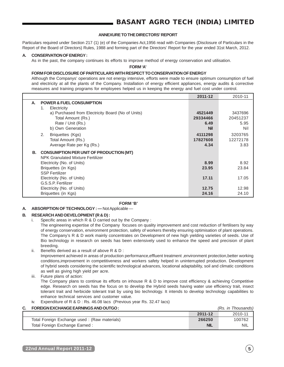### **ANNEXURE TO THE DIRECTORS' REPORT**

Particulars required under Section 217 (1) (e) of the Companies Act,1956 read with Companies (Disclosure of Particulars in the Report of the Board of Directors) Rules, 1988 and forming part of the Directors' Report for the year ended 31st March, 2012.

## **A. CONSERVATION OF ENERGY :**

As in the past, the company continues its efforts to improve method of energy conservation and utilisation.

**FORM 'A'**

#### **FORM FOR DISCLOSURE OF PARTICULARS WITH RESPECT TO CONSERVATION OF ENERGY**

Although the Companys' operations are not energy intensive, efforts were made to ensure optimum consumption of fuel and electricity at all the plants of the Company. Installation of energy efficient appliances, energy audits & corrective measures and training programs for employees helped us in keeping the energy and fuel cost under control.

|    |                                                   | 2011-12    | 2010-11  |
|----|---------------------------------------------------|------------|----------|
| А. | <b>POWER &amp; FUEL CONSUMPTION</b>               |            |          |
|    | 1.<br>Electricity                                 |            |          |
|    | a) Purchased from Electricity Board (No of Units) | 4521449    | 3437696  |
|    | Total Amount (Rs.)                                | 29334466   | 20451237 |
|    | Rate / Unit (Rs.)                                 | 6.49       | 5.95     |
|    | b) Own Generation                                 | <b>Nil</b> | Nil      |
|    | 2.<br>Briquettes (Kgs)                            | 4111298    | 3203765  |
|    | Total Amount (Rs.)                                | 17827608   | 12272178 |
|    | Average Rate per Kg (Rs.)                         | 4.34       | 3.83     |
| В. | <b>CONSUMPTION PER UNIT OF PRODUCTION (MT)</b>    |            |          |
|    | <b>NPK Granulated Mixture Fertilizer</b>          |            |          |
|    | Electricity (No. of Units)                        | 8.99       | 8.92     |
|    | Briquettes (in Kgs)                               | 23.95      | 23.84    |
|    | <b>SSP Fertilizer</b>                             |            |          |
|    | Electricity (No. of Units)                        | 17.11      | 17.05    |
|    | G.S.S.P. Fertilizer                               |            |          |
|    | Electricity (No. of Units)                        | 12.75      | 12.98    |
|    | Briquettes (in Kgs)                               | 24.16      | 24.10    |

## **FORM 'B'**

#### **A. ABSORPTION OF TECHNOLOGY : —** Not Applicable —

#### **B. RESEARCH AND DEVELOPMENT (R & D) :**

Specific areas in which R & D carried out by the Company :

The engineering expertise of the Company focuses on quality improvement and cost reduction of fertilisers by way of energy conservation, environment protection, safety of workers thereby ensuring optimisation of plant operations. The Company's R & D work mainly concentrates on Development of new high yielding varieties of seeds. Use of Bio technology in research on seeds has been extensively used to enhance the speed and precision of plant breeding.

ii. Benefits derived as a result of above R & D :

Improvement achieved in areas of production performance,effluent treatment ,environment protection,better working conditions,improvement in competitiveness and workers safety helped in uninterrupted production. Development of hybrid seeds considering the scientific technological advances, locational adaptability, soil and climatic conditions as well as giving high yield per acre.

iii. Future plans of action:

The Company plans to continue its efforts on inhouse R & D to improve cost efficiency & achieving Competitive edge. Research on seeds has the focus on to develop the Hybrid seeds having water use efficiency trait, insect tolerant trait and herbicide tolerant trait by using bio technology. It intends to develop technology capabilities to enhance technical services and customer value.

iv. Expenditure of R & D : Rs. 46.08 lacs (Previous year Rs. 32.47 lacs)

**C. FOREIGN EXCHANGE EARNINGS AND OUTGO :** (Rs. in Thousands)

|                                              | 2011-12    | 2010-11    |
|----------------------------------------------|------------|------------|
| Total Foreign Exchange used: (Raw materials) | 266250     | 100762     |
| Total Foreign Exchange Earned:               | <b>NIL</b> | <b>NIL</b> |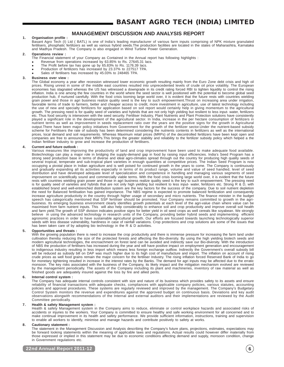## **MANAGEMENT DISCUSSION AND ANALYSIS REPORT**

#### **1. Organisation profile :**

Basant Agro Tech (I) Ltd ( BATL) is one of India's leading manufacturer of various farm inputs comprising of NPK mixture granulated fertilisers, phosphatic fertilizers as well as various hybrid seeds.The production facilities are located in the states of Maharashtra, Karnataka and Madhya Pradesh. The Company is also engaged in Wind Turbine Power Generation.

#### **2. Operations review :**

- The Financial statement of your Company as Contained in the Annual report has following highlights :
- Revenue from operations increased by 63.85% to Rs. 27645.31 lacs.
- The Profit before tax has gone up by 65.83% to Rs. 1176.39 lacs.
- Production of fertilizers has increased by 23.37% to 227517 TPA.
- Sales of fertilisers has increased by 45.03% to 248465 TPA.

#### **3. Business over view :**

The Global economy a year after recession witnessed lower economic growth resulting mainly from the Euro Zone debt crisis and high oil prices. Rising unrest in some of the middle east countries resulted into unprecedented levels of crude oil price volatility. The European economies has stagnated whereas the US has witnessed a downgrade in its credit rating forced RBI to tighten liquidity to control the rising inflation. India is one among the few countries in the world where the seed sector is well positioned with the potential to become global seed production hub, if nurtured carefully. With the food crisis looming large world over, it is evident that the future rests with countries wielding grain power and those in agri business realize quality seed is the key to such empowerment.Thrust on increasing area under irrigation, favorable terms of trade to farmers, better and cheaper access to credit, more investment in agriculture, use of latest technology including the use of new and specialty fertilizers for application based on soil report would certainly help in giving momentum to the agricultural growth. The pressing need is for quality seed of varieties and hybrids that are not only high yielding but resilient to less input- water, fertilizers etc. Thus food security is interwoven with the seed security. Fertiliser Industry, Plant Nutrients and Plant Protection solutions have consistently played a significant role in the development of the agricultural sector. In India, increase in the per hectare consumption of fertilizers in nutrient terms as well as improvement in seeds replacement ratio over the years are the positive signs for the growth in Agricultural output.There have been major policy initiatives from Government for the growth of the fertilizer sector.Under the nutrient-based subsidy scheme for Fertilisers the rate of subsidy has been determined considering the nutrients contents in fertilizers as well as the international prices, local demand and soil requirements. Whereas Maximum retail prices (MRPs) of the decontrolled fertilizers have been kept open and companies are free to announce their MRPs.This brings the greater stability and reliability to the fertilizer subsidy policy which helped a the Indian fertiliser industry to grow and increase the production of fertilisers.

#### **4. Current and future outlook :**

Various measures like improving the productivity of land and crop improvement have been used to make adequate food available. Biotechnology can play a major role in bridging the supply-demand gap in food by raising input efficiencies. India's Seed Program has a strong seed production base in terms of diverse and ideal agro-climates spread through out the country for producing high quality seeds of several tropical, temperate and sub-tropical plant varieties in enough quantities at competitive prices. The Indian Seed Program is now occupying a pivotal place in Indian agriculture and is well poised for continued growth in the years to come. The Company is continuously and gradually expanding all its activities especially in terms of its product range, volume and value of seed handled, level of seed distribution and have developed adequate level of specialization and competence in handling and managing various segments of seed improvement on scientifically sound and commercially viable terms. With the food crisis looming large world over, it is evident that the future rests with countries wielding grain power and those in agri business realize quality seed is the key to such empowerment. The pressing need is for quality seed of varieties and hybrids that are not only high yielding but resilient to less input- water, fertilizers etc. Strong R & D, with established brand and well-entrenched distribution system are the key factors for the success of the company. Due to soil nutrient depletion the need for Balanced fertilisation has gained importance. The NBS regime is expected to promote balanced fertilization and consequently increase agriculture productivity in the country through higher usage of secondary and micro nutrients. The finance minister in the budget speech has categorically mentioned that SSP fertiliser should be promoted. Your Company remains committed to growth in the agribusiness. Its emerging business environment clearly identifies growth potentials at each level of the agri-value chain where value can be maximised from farm nutrient inputs. This will also help considerably to enhance soil and crop productivity and improve overall soil health and farm yield.The growth of SSP division indicates positive signs for better yield in oil seed crops as well cereals like soyabean. We strongly believe in using the advanced technology in research units of the Company, providing better hybrid seeds and implementing efficient agronomic practices in order to have sustainable agricultural growth. Our efforts are focused towards launching technologically superior seeds with less disease vulnerability, hardiness in case of rainfall variations. Crop protections and crop solutions are some of the issues that has been taken care of by adopting bio technology in the R & D activities.

#### **5. Opportunities and threats :**

With the growing population there is need to increase the crop productivity and there is immense pressure for increasing the farm land under cultivation thereby reducing the size of the protected forests and affecting the Bio-diversity. By using the high yielding biotech seeds and modern agricultural technologies, the encroachment on forest land can be avoided and indirectly save our Bio-diversity. With the introduction of NBS the production of fertilisers has increased during the year and will have positive impact on employment generation and encouragement to indigenous industry resulting in less import which means less foreign exchange outflow. Indirectly the Government's overall subsidy bill will be reduced as subsidy bill on DAP was much higher due to its high cost of manufacture and import. The inflation on account of rising crude prices as well food grains remain the major concern for the fertiliser Industry. The rising inflation forced Reserved Bank of India to go for monetary tightening resulted in increase in the interest rates by the Banks. The demand for agri inputs may be affected due to the erratic monsoon. The key risks associated with the business of the Company, its likely impact and the mitigation mechanism evolved are reviewed by the management periodically. The assets of the Company including its plant and machineries, inventory of raw material as well as finished goods are adequately insured against the loss by fire and allied perils.

#### **6. Internal control system :**

The Company has adequate internal controls consistent with size and nature of its business which provides safety to its assets and ensure reliability of financial transactions with adequate checks, compliances with applicable company policies, various statutes, accounting policies and approval procedures. These systems are regularly reviewed and improved by the management. The Company's Budgetary Control System monitors the revenue and expenditures against the approved budget on continuous basis. Deviations and key audit observations alongwith recommendations of the Internal and external auditors and their implementations are reviewed by the Audit Committee periodically.

#### **7. Health & safety Management system :**

Health & safety Management system in the Company aims to reduce, eliminate or control workplace hazards and associated risks of accidents or injuries to the workers. Your Company is committed to ensure healthy and safe working environment for all concerned and to make continual improvement in its health and safety performance. We provide sufficient information, instructions, training and supervision to enable all workers to identify, minimise and manage hazards and contribute positively to safety at works.

#### **8. Cautionary statement :**

The statement in the Management Discussion and Analysis describing the Company's future plans, projections, estimates, expectations may be forward looking statements within the meaning of applicable laws and regulations. Actual results could however differ materially from those expressed or implied in this statement may be due to economic conditions affecting demand and supply, monsoon condition, change in Government regulations etc.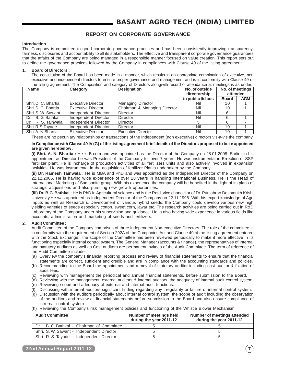## **REPORT ON CORPORATE GOVERNANCE**

#### **Introduction**

The Company is committed to good corporate governance practices and has been consistently improving transparency, fairness, disclosures and accountability to all its stakeholders. The effective and transparent corporate governance guarantees that the affairs of the Company are being managed in a responsible manner focused on value creation. This report sets out to define the governance practices followed by the Company in compliances with Clause 49 of the listing agreement.

#### **1. Board of Directors :**

The constitution of the Board has been made in a manner, which results in an appropriate combination of executive, non executive and independent directors to ensure proper governance and management and is in conformity with Clause 49 of the listing agreement. The Composition and category of Directors alongwith record of attendance at meetings is as under:

| <b>Name</b><br>Category |                           | <b>Designation</b>           | No. of outside<br>directorship | No. of meetings<br>attended |            |
|-------------------------|---------------------------|------------------------------|--------------------------------|-----------------------------|------------|
|                         |                           |                              | in public Itd cos              | <b>Board</b>                | <b>AGM</b> |
| Shri, D. C. Bhartia     | <b>Executive Director</b> | <b>Managing Director</b>     | Nil                            | 10                          |            |
| Shri, S. C. Bhartia     | <b>Executive Director</b> | Chairman & Managing Director | Nil                            | 10                          |            |
| Shri, S. W. Sawant      | Independent Director      | <b>Director</b>              | Nil                            | 6                           |            |
| Dr. B. G. Bathkal       | Independent Director      | <b>Director</b>              | Nil                            | 6                           |            |
| Dr. R. S. Tainwala      | Independent Director      | Director                     |                                | 6                           |            |
| Shri. R.S. Tayade       | Independent Director      | <b>Director</b>              | Nil                            | 10                          |            |
| Shri, A. N. Bhartia     | <b>Executive Director</b> | <b>Executive Director</b>    | Nil                            | 10                          |            |

These are no pecuniary relationships or transactions of the Independent (non executive) directors vis-a-vis the company.

**In Compliance with Clause 49 IV (G) of the listing agreement brief details of the Directors proposed to be re appointed are given herebelow :**

**(i) Shri. A. N. Bhartia :** He is B com and was appointed as the Director of the Company on 28.01.2008. Earlier to his appointment as Director he was President of the Company for over 7 years. He was instrumental in Errection of SSP fertilizer plant. He is incharge of production activities of all fertilizers units and also actively involved in expansion activities. He was instrumental in the acquisition of fertilizer Plants undertaken by the Company.

**(ii) Dr. Ramesh Tainwala :** He is MBA and PhD and was appointed as the Independent Director of the Company on 22.12.2005. He is having wide experience of over 28 years in handling international Business. He is the Head of International Marketing of Samsonite group. With his experience the company will be benefited in the light of its plans of strategic acquisitions and also pursuing new growth opportunities.

**(iii) Dr. B.G. Bathkal** : He is PhD in Agricultural science and is the Retd. vice chancellor of Dr. Punjabrao Deshmukh Krishi University.He was appointed as Independent Director of the Company on 22.11.1996. With his expert knowledge of Agri Inputs as well as Research & Development of various hybrid seeds, the Company could develop various new high yielding varieties of seeds especially cotton, sweet corn, jawar etc. The research activities are being carried out in R&D Laboratory of the Company under his supervision and guidance. He is also having wide experience in various fields like accounts, administration and marketing of seeds and fertilizers.

#### **2. Audit Committee :**

Audit Committee of the Company comprises of three independent Non-executive Directors. The role of the committee is in conformity with the requirement of Section 292A of the Companies Act and Clause 49 of the listing agreement entered with the Stock Exchange. The scope of the Committee has been reviewed periodically to make it more effective in its functioning especially internal control system. The General Manager (accounts & finance), the representatives of Internal and statutory auditors as well as Cost auditors are permanent invitees of the Audit Committee. The term of reference of the Audit Committee include:

- (a) Overview the company's financial reporting process and review of financial statements to ensure that the financial statements are correct, sufficient and credible and are in compliance with the accounting standards and policies.
- (b) Recommending to the Board the appointment and removal of statutory auditor including cost auditor & fixation of audit fees.
- (c) Reviewing with management the periodical and annual financial statements, before submission to the Board.
- (d) Reviewing with the management, external auditors & internal auditors, the adequacy of internal audit control system.
- (e) Reviewing scope and adequacy of external and internal audit functions.
- (f) Discussing with internal auditors significant finding regarding any irregularity or failure of internal control system.
- (g) Discussion with the auditors periodically about internal control system, the scope of audit including the observation of the auditors and review all financial statements before submission to the Board and also ensure compliance of intrernal control system.
- (h) Reviewing the Company's risk management policies and functioning of the Whistle Blower Mechanism.

| <b>Audit Committee</b>                         | Number of meetings held<br>during the year 2011-12 | <b>Number of meetings attended</b><br>during the year 2011-12 |
|------------------------------------------------|----------------------------------------------------|---------------------------------------------------------------|
| B. G. Bathkal - Chairman of Committee  <br>Dr. |                                                    |                                                               |
| Shri, S. W. Sawant - Independent Director      |                                                    |                                                               |
| Shri, R. S. Tavade - Independent Director      |                                                    |                                                               |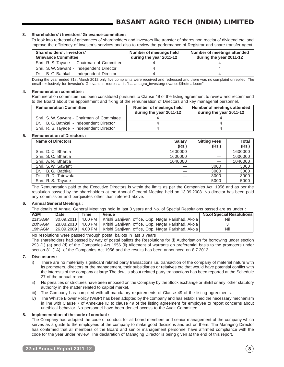#### **3. Shareholders' / Investors' Grievance committee :**

To look into redressal of grievances of shareholders and investors like transfer of shares,non receipt of dividend etc. and improve the efficiency of investor's services and also to review the performance of Registrar and share transfer agent.

| Shareholders'/Investors'<br><b>Grievance Committee</b> | Number of meetings held<br>during the year 2011-12 | Number of meetings attended<br>during the year 2011-12 |
|--------------------------------------------------------|----------------------------------------------------|--------------------------------------------------------|
| Shri. R. S. Tayade - Chairman of Committee             |                                                    |                                                        |
| Shri, S. W. Sawant - Independent Director              |                                                    |                                                        |
| Dr. B. G. Bathkal - Independent Director               |                                                    |                                                        |

During the year ended 31st March 2012 only five complaints were received and redressed and there was no complaint unreplied. The email exclusively for Investor's Grievances redressal is "basantagro\_investorgrievance@hotmail.com"

#### **4. Remuneration committee :**

Remuneration committee has been constituted pursuant to Clause 49 of the listing agreement to review and recommend to the Board about the appointment and fixing of the remuneration of Directors and key managerial personnel.

| <b>Remuneration Committee</b>               | Number of meetings held<br>during the year 2011-12 | Number of meetings attended<br>during the year 2011-12 |
|---------------------------------------------|----------------------------------------------------|--------------------------------------------------------|
| Shri, S. W. Sawant - Chairman of Committee  |                                                    |                                                        |
| B. G. Bathkal - Independent Director<br>Dr. |                                                    |                                                        |
| Shri, R. S. Tavade - Independent Director   |                                                    |                                                        |

#### **5. Remuneration of Directors :**

| <b>Name of Directors</b> | <b>Salary</b> | <b>Sitting Fees</b> | <b>Total</b> |
|--------------------------|---------------|---------------------|--------------|
|                          | (Rs.)         | (Rs.)               | (Rs.)        |
| Shri, D. C. Bhartia      | 1600000       |                     | 1600000      |
| Shri, S.C. Bhartia       | 1600000       |                     | 1600000      |
| Shri, A.N. Bhartia       | 1040000       |                     | 1040000      |
| Shri, S.W. Sawant        |               | 3000                | 3000         |
| B. G. Bathkal<br>Dr.     |               | 3000                | 3000         |
| R. D. Tainwala<br>Dr.    |               | 3000                | 3000         |
| Shri. R. S. Tayade       |               | 5000                | 5000         |

The Remuneration paid to the Executive Directors is within the limits as per the Companies Act, 1956 and as per the resolution passed by the shareholders at the Annual General Meeting held on 13.09.2008. No director has been paid any commission and perquisites other than referred above.

#### **6. Annual General Meetings :**

The details of Annual General Meetings held in last 3 years and No. of Special Resolutions passed are as under :

| <b>AGM</b> | Date       | Time      | <b>Venue</b>                                                               | <b>No.of Special Resolutions</b> |
|------------|------------|-----------|----------------------------------------------------------------------------|----------------------------------|
| 21st AGM   | 30.09.2011 | 4.00 PM L | Krishi Sanjivani office, Opp. Nagar Parishad, Akola                        | Nil                              |
| 20th AGM   |            |           | 28.08.2010   4.00 PM   Krishi Sanjivani office, Opp. Nagar Parishad, Akola |                                  |
| 19th AGM   |            |           | 26.09.2009   4.00 PM   Krishi Sanjivani office, Opp. Nagar Parishad, Akola | Nil                              |

No resolutions were passed through postal ballots in last 3 years

The shareholders had passed by way of postal ballots the Resolutions for (i) Authorisation for borrowing under section 293 (1) (a) and (d) of the Companies Act 1956 (ii) Allotment of warrants on preferential basis to the promoters under section 81 (1A) of the Companies Act 1956 and the results has been announced on 8.7.2012.

#### **7. Disclosures :**

- i) There are no materially significant related party transactions i.e. transaction of the company of material nature with its promoters, directors or the management, their subsidiaries or relatives etc that would have potential conflict with the interests of the company at large.The details about related party transactions has been reported at the Schedule 27 of the annual report.
- ii) No penalties or strictures have been imposed on the Company by the Stock exchange or SEBI or any other statutory authority in the matter related to capital market.
- iii) The Company has complied with all mandatory requirements of Clause 49 of the listing agreements.
- iv) The Whistle Blower Policy (WBP) has been adopted by the company and has established the necessary mechanism in line with Clause 7 of Annexure ID to clause 49 of the listing agreement for employee to report concerns about unethical behavior. No personnel have been denied access to the Audit Committee.

#### **8. Implementation of the code of conduct :**

The Company had adopted the code of conduct for all board members and senior management of the company which serves as a guide to the employees of the company to make good decisions and act on them. The Managing Director has confirmed that all members of the Board and senior management personnel have affirmed compliance with the code for the year under review. The declaration of Managing Director is being given at the end of this report.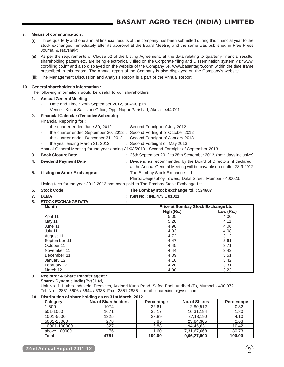#### **9. Means of communication :**

- (i) Three quarterly and one annual financial results of the company has been submitted during this financial year to the stock exchanges immediately after its approval at the Board Meeting and the same was published in Free Press Journal & Navshakti.
- (ii) As per the requirements of Clause 52 of the Listing Agreement, all the data relating to quarterly financial results, shareholding pattern etc. are being electronically filed on the Corporate filing and Dissemination system viz "www. corpfiling.co.in" and also displayed on the website of the Company i.e."www.basantagro.com" within the time frame prescribed in this regard. The Annual report of the Company is also displayed on the Company's website.
- (iii) The Management Discussion and Analysis Report is a part of the Annual Report.

#### **10. General shareholder's information :**

The following information would be useful to our shareholders :

- **1. Annual General Meeting**
	- Date and Time : 28th September 2012, at 4:00 p.m.
		- Venue : Krishi Sanjivani Office, Opp. Nagar Parishad, Akola 444 001.

#### **2. Financial Calendar (Tentative Schedule)**

Financial Reporting for :

- the quarter ended June 30, 2012 : Second Fortnight of July 2012
- the quarter ended September 30, 2012 : Second Fortnight of October 2012
- the quarter ended December 31, 2012 : Second Fortnight of January 2013
- the year ending March 31, 2013 : Second Fortnight of May 2013

Annual General Meeting for the year ending 31/03/2013 : Second Fortnight of September 2013

- **3. Book Closure Date** : 26th September 2012 to 28th September 2012, (both days inclusive)
- **4. Dividend Payment Date** : Dividend as recommended by the Board of Directors, if declared at the Annual General Meeting will be payable on or after 28.9.2012
- **5. Listing on Stock Exchange at** : The Bombay Stock Exchange Ltd

Phiroz Jeejeebhoy Towers, Dalal Street, Mumbai - 400023.

Listing fees for the year 2012-2013 has been paid to The Bombay Stock Exchange Ltd.

- **6. Stock Code : The Bombay stock exchange ltd. : 524687**
- 
- **7. DEMAT : ISIN No. : INE 473 E 01021**
- **8. STOCK EXCHANGE DATA :**

| <b>Month</b> | <b>Price at Bombay Stock Exchange Ltd</b> |           |
|--------------|-------------------------------------------|-----------|
|              | High (Rs.)                                | Low (Rs.) |
| April 11     | 5.05                                      | 4.00      |
| May 11       | 5.28                                      | 4.11      |
| June 11      | 4.98                                      | 4.06      |
| July 11      | 4.93                                      | 4.08      |
| August 11    | 4.72                                      | 3.12      |
| September 11 | 4.47                                      | 3.61      |
| October 11   | 4.45                                      | 3.71      |
| November 11  | 4.44                                      | 3.42      |
| December 11  | 4.09                                      | 3.51      |
| January 12   | 4.10                                      | 3.42      |
| February 12  | 4.20                                      | 3.31      |
| March 12     | 4.90                                      | 3.23      |

## **9. Registrar & ShareTransfer agent :**

Unit No. 1, Luthra Industrial Premises, Andheri Kurla Road, Safed Pool, Andheri (E), Mumbai - 400 072. Tel. No. : 2851 5606 / 5644 / 6338. Fax : 2851 2885. e-mail : sharexindia@vsnl.com.

#### **10. Distribution of share holding as on 31st March, 2012**

| Category     | No. of Shareholders | Percentage | <b>No. of Shares</b> | Percentage |
|--------------|---------------------|------------|----------------------|------------|
| $1 - 500$    | 1074                | 22.61      | 2,80,512             | 0.32       |
| 501-1000     | 1671                | 35.17      | 16,31,194            | 1.80       |
| 1001-5000    | 1325                | 27.89      | 37,18,190            | 4.10       |
| 5001-10000   | 278                 | 5.85       | 23,84,305            | 2.63       |
| 10001-100000 | 327                 | 6.88       | 94,45,631            | 10.42      |
| above 100000 | 76                  | 1.60       | 7,31,67,668          | 80.73      |
| Total        | 4751                | 100.00     | 9,06,27,500          | 100.00     |

**Sharex Dynamic India (Pvt.) Ltd,**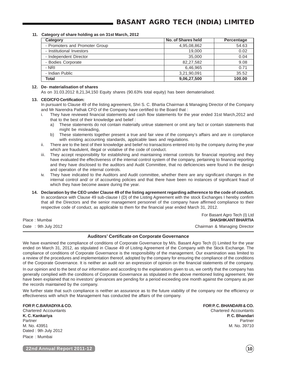#### **11. Category of share holding as on 31st March, 2012**

| Category                       | No. of Shares held | Percentage |
|--------------------------------|--------------------|------------|
| - Promoters and Promoter Group | 4,95,08,862        | 54.63      |
| - Institutional Investors      | 19,000             | 0.02       |
| - Independent Director         | 35,000             | 0.04       |
| - Bodies Corporate             | 82,27,582          | 9.08       |
| - NRI                          | 6.46.965           | 0.71       |
| - Indian Public                | 3,21,90,091        | 35.52      |
| Total                          | 9,06,27,500        | 100.00     |

#### **12. De- materialisation of shares**

As on 31.03.2012 8,21,34,150 Equity shares (90.63% total equity) has been dematerialised.

#### **13. CEO/CFO Certification:**

In pursuant to Clause 49 of the listing agreement, Shri S. C. Bhartia Chairman & Managing Director of the Company and Mr Narendra Pathak CFO of the Company have certified to the Board that :

- i. They have reviewed financial statements and cash flow statements for the year ended 31st March,2012 and that to the best of their knowledge and belief :
	- a) These statements do not contain materially untrue statement or omit any fact or contain statements that might be misleading,
	- b) These statements together present a true and fair view of the company's affairs and are in compliance with existing accounting standards, applicable laws and regulations.
- ii. There are to the best of their knowledge and belief no transactions entered into by the company during the year which are fraudulent, illegal or violative of the code of conduct.
- iii. They accept responsibility for establishing and maintaining internal controls for financial reporting and they have evaluated the effectiveness of the internal control system of the company, pertaining to financial reporting and they have disclosed to the auditors and Audit Committee, that no deficiencies were found in the design and operation of the internal controls.
- They have indicated to the Auditors and Audit committee, whether there are any significant changes in the internal control and/ or of accounting policies and that there have been no instances of significant fraud of which they have become aware during the year.
- **14. Declaration by the CEO under Clause 49 of the listing agreement regarding adherence to the code of conduct.** In accordance with Clause 49 sub-clause I (D) of the Listing Agreement with the stock Exchanges I hereby confirm that all the Directors and the senior management personnel of the company have affirmed compliance to their respective code of conduct, as applicable to them for the financial year ended March 31, 2012.

For Basant Agro Tech (I) Ltd Place : Mumbai **SHASHIKANT BHARTIA** Date : 9th July 2012 **Chairman & Managing Director** 

## **Auditors' Certificate on Corporate Governance**

We have examined the compliance of conditions of Corporate Governance by M/s. Basant Agro Tech (I) Limited for the year ended on March 31, 2012, as stipulated in Clause 49 of Listing Agreement of the Company with the Stock Exchange. The compliance of conditions of Corporate Governance is the responsibility of the management. Our examination was limited to a review of the procedures and implementation thereof, adopted by the company for ensuring the compliance of the conditions of the Corporate Governance. It is neither an audit nor an expression of opinion on the financial statements of the company.

In our opinion and to the best of our information and according to the explanations given to us, we certify that the company has generally complied with the conditions of Corporate Governance as stipulated in the above mentioned listing agreement. We have been explained that no investors' grievances are pending for a period exceeding one month against the company as per the records maintained by the company.

We further state that such compliance is neither an assurance as to the future viability of the company nor the efficiency or effectiveness with which the Management has conducted the affairs of the company.

**FOR P. C.BARADIYA & CO. FOR P. C. BHANDARI & CO.**

M. No. 43951 M. No. 39710 Dated : 9th July 2012 Place : Mumbai

Chartered Accountants **Chartered Accountants** Chartered Accountants **K. C. Kankariya P. C. Bhandari** Partner Partner

**22nd Annual Report 2011-12 10**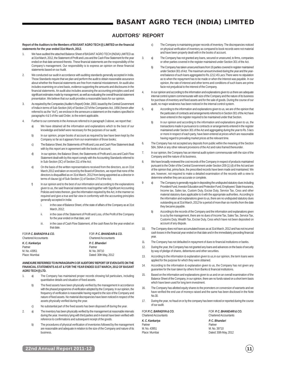## **AUDITORS' REPORT**

#### **Report of the Auditors to the Members of BASANT AGRO TECH (I) LIMITED on the financial statements for the year ended 31st March, 2012.**

- 1. We have audited the attached Balance Sheet of BASANT AGRO TECH (INDIA) LIMITED as at 31st March, 2012, the Statement of Profit and Loss and the Cash Flow Statement for the year ended on that date annexed thereto. These financial statements are the responsibility of the Company's management. Our responsibility is to express an opinion on these financial statements based on our Audit.
- 2. We conducted our audit in accordance with auditing standards generally accepted in India. Those Standards require that we plan and perform the audit to obtain reasonable assurance about whether the financial statements are free from material misstatement. An audit also includes examining on a test basis, evidence supporting the amounts and disclosures in the financial statements. An audit also includes assessing the accounting principles used and significant estimates made by management, as well as evaluating the overall financial statement presentation. We believe that our audit provides a reasonable basis for our opinion.
- 3. As required by the Companies (Auditor's Report) Order, 2003, issued by the Central Government of India in terms of Sub-Section (4A) of Section 227of the Companies Act, 1956 (herein after referred to as the "Act"), we enclose in the annexure a statement on the matters specified in paragraphs 4 & 5 of the said Order, to the extent applicable.
- Further to our comments in the Annexure referred to in paragraph 3 above, we report that :
	- a) We have obtained all the information and explanations which to the best of our knowledge and belief were necessary for the purposes of our audit;
	- b) In our opinion, proper books of account as required by law have been kept by the Company so far as it appears from our examination of those books;
	- c) The Balance Sheet, the Statements of Profit and Loss and Cash Flow Statement dealt with by this report are in agreement with the books of account
	- d) In our opinion, the Balance Sheet, the Statements of Profit and Loss and Cash Flow Statement dealt with by this report comply with the Accounting Standards referred to in Sub-Section (3C) of Section 211 of the Act;
	- e) On the basis of the written representations received from the directors, as on 31st March,2012 and taken on record by the Board of Directors, we report that none of the directors is disqualified as on 31st March, 2012 from being appointed as a director in terms of clause (g) of Sub-Section (1) of Section 274 of the Act;
	- f) In our opinion and to the best of our information and according to the explanations given to us, the said financial statements read together with Significant Accounting Policies and notes thereon, give the information required by the Act, in the manner so required and give a true and fair view in conformity with the accounting principles generally accepted in India:
		- in the case of Balance Sheet, of the state of affairs of the Company as at 31st March, 2012;
		- ii. in the case of the Statement of Profit and Loss, of the Profit of the Company for the year ended on that date; and
		- iii. in the case of Cash Flow Statement, of the cash flows for the year ended on that date.

| FOR P.C. BARADIYA & CO.<br><b>Chartered Accountants</b> | FOR P.C. BHANDARI& CO.<br><b>Chartered Accountants</b> |
|---------------------------------------------------------|--------------------------------------------------------|
| K. C. Kankariya                                         | P. C. Bhandari                                         |
| Partner                                                 | Partner                                                |
| M. No. 43951                                            | M. No. 39710                                           |
| Place: Mumbai                                           | Dated: 30th May, 2012                                  |

#### **ANNEXURE REFERRED TO IN PARAGRAPH 3 OF AUDITORS' REPORT OF EVEN DATE ON THE FINANCIAL STATEMENTS AS AT & FOR THE YEAR ENDED 31ST MARCH, 2012 OF BASANT AGRO TECH (I) LTD.**

- 1. a) The Company has maintained proper records showing full particulars, including quantitative details and situation of fixed assets.
	- b) The fixed assets have been physically verified by the management in accordance with the phased programme of verification adopted by the Company. In our opinion, the frequency of verification is reasonable having regard to the size of the Company and nature of fixed assets. No material discrepancies have been noticed in respect of the assets physically verified during the year.
	- c) No substantial part of the fixed assets has been disposed off during the year.
- 2. a) The inventory has been physically verified by the management at reasonable intervals during the year. Inventory lying with third parties and in-transit have been verified with reference to confirmations and subsequent receipt of the goods.
	- b) The procedures of physical verification of inventories followed by the management are reasonable and adequate in relation to the size of the Company and nature of its business.
- c) The Company is maintaining proper records of inventory. The discrepancies noticed on physical verification of inventory as compared to book records were not material and have been properly dealt with in the books of account.
- 3. a) The Company has not granted any loans, secured or unsecured, to firms, companies or other parties covered in the register maintained under Section 301 of the Act.
	- b) The Company has taken unsecured loans from 16 parties covered in register maintained under Section 301 of Act. The maximum amount involved during the year and the yearend balance of such loans aggregated to Rs.1212.45 Lacs.There were no stipulation as to when the repayment has to be made or when the Interest was payable. In our opinion, the rate of interest and other terms and conditions of such loans are prime facie not prejudicial to the interest of the Company.
- 4. In our opinion and according to the information and explanations given to us there are adequate internal control system commensurate with size of the Company and the nature of its business for purchase of inventory and fixed assets and for the sale of goods. During the course of our audit, no major weakness has been noticed in the internal control system.
- 5. a) According to the information and explanations given to us, we are of the opinion that the particulars of contracts and arrangements referred to in Section 301 of the Act have been entered in the register required to be maintained under that Section.
	- In our opinion and according to the information and explanations given to us, the transactions made in pursuance to contracts or arrangements entered in the register maintained under Section 301 of the Act and aggregating during the year to Rs. 5 lacs or more in respect of each party, have been entered at prices which are reasonable having regard to prevailing market prices at the relevant time.
- 6. The Company has not accepted any deposits from public within the meaning of the Section 58A, 58AA or any other relevant provisions of the Act and rules framed thereunder.
- 7. In our opinion, the Company has an internal audit system commensurate with the size of the Company and the nature of its business.
- 8. We have broadly reviewed the cost records of the Company in respect of products maintained pursuant to the Order of the Central Government under Section 209 (1) (d) of the Act and are of the opinion that, prima facie, the prescribed records have been made and maintained. We are, however, not required to make a detailed examination of the records with a view to determine whether they are accurate or complete.
- 9 a) The Company is generally regular in depositing the undisputed statutory dues including Provident Fund, Investor Education and Protection Fund, Employees' State Insurance, Income tax, Sales tax, Custom Duty, Excise Duty, Service Tax, Cess and other material statutory dues applicable to it with the appropriate authorities. According to the information and explanations given to us, there are no undisputed statutory dues outstanding as at 31st March, 2012 for a period of more than six months from the date they became payable.
	- b) According to the records of the Company and the information and explanations given to us by the management, there are no dues of Income Tax, Sales Tax, Service Tax, Customs Duty, Wealth Tax, Excise Duty, Cess which have not been deposited on account of any dispute.
- 10. The Company does not have accumulated losses as at 31st March, 2012 and has not incurred cash losses in the financial year ended on that date and in the immediately preceding financial year.
- 11. The Company has not defaulted in repayment of dues to financial institutions or banks.
- 12. During the year, the Company has not granted any loans and advances on the basis of security by way of pledge of shares, debentures and other securities.
- 13. According to the information & explanation given to us,in our opinion, the term loans were applied for the purpose for which they were obtained.
- 14. According to the information & explanation given to us, the Company has not given any guarantee for the loan taken by others from Banks & financial institutions.
- 15. Based on the information and explanations given to us and on an overall examination of the Balance Sheet of the Company, in our opinion, there are no funds raised on a short term basis which have been used for long term investment.
- 16. The Company has allotted equity shares to the promoters on conversion of warrants and we have verified the end use of moneys raised and the same has been disclosed in the Note No.30.
- 17. During the year, no fraud on or by the company has been noticed or reported during the course of our audit.

FOR *P. C. BARADIYA & CO.* FOR*P. C. BHANDARI & CO.* FOR*P. C. BHANDARI & CO.* Chartered Accountants

*K. C. Kankariya P. C. Bhandari* Partner **Partner** Partner M. No. 43951 M. No. 39710

Chartered Accountants Chartered Accountants Place: Mumbai Dated: 30th May, 2012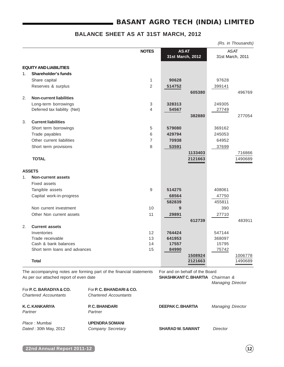# **BASANT AGRO TECH (INDIA) LIMITED**

# **BALANCE SHEET AS AT 31ST MARCH, 2012**

|    |                                |                  |             |                  |        | (Rs. in Thousands) |
|----|--------------------------------|------------------|-------------|------------------|--------|--------------------|
|    |                                | <b>NOTES</b>     | <b>ASAT</b> |                  |        | <b>ASAT</b>        |
|    |                                | 31st March, 2012 |             | 31st March, 2011 |        |                    |
|    | <b>EQUITY AND LIABILITIES</b>  |                  |             |                  |        |                    |
| 1. | Shareholder's funds            |                  |             |                  |        |                    |
|    | Share capital                  | $\mathbf{1}$     | 90628       |                  | 97628  |                    |
|    | Reserves & surplus             | $\overline{2}$   | 514752      |                  | 399141 |                    |
|    |                                |                  |             | 605380           |        | 496769             |
| 2. | <b>Non-current liabilities</b> |                  |             |                  |        |                    |
|    | Long-term borrowings           | 3                | 328313      |                  | 249305 |                    |
|    | Deferred tax liability (Net)   | 4                | 54567       |                  | 27749  |                    |
|    |                                |                  |             | 382880           |        | 277054             |
| 3. | <b>Current liabilities</b>     |                  |             |                  |        |                    |
|    | Short term borrowings          | 5                | 579080      |                  | 369162 |                    |
|    | Trade payables                 | 6                | 429794      |                  | 245053 |                    |
|    | Other current liabilities      | 7                | 70938       |                  | 64952  |                    |
|    | Short term provisions          | 8                | 53591       |                  | 37699  |                    |
|    |                                |                  |             | 1133403          |        | 716866             |
|    | <b>TOTAL</b>                   |                  |             | 2121663          |        | 1490689            |
|    |                                |                  |             |                  |        |                    |
|    | <b>ASSETS</b>                  |                  |             |                  |        |                    |
| 1. | <b>Non-current assets</b>      |                  |             |                  |        |                    |
|    | Fixed assets                   |                  |             |                  |        |                    |
|    | Tangible assets                | 9                | 514275      |                  | 408061 |                    |
|    | Capital work-in-progress       |                  | 68564       |                  | 47750  |                    |
|    |                                |                  | 582839      |                  | 455811 |                    |
|    | Non current investment         | 10               | 9           |                  | 390    |                    |
|    | Other Non current assets       | 11               | 29891       |                  | 27710  |                    |
| 2. | <b>Current assets</b>          |                  |             | 612739           |        | 483911             |
|    | Inventories                    | 12               | 764424      |                  | 547144 |                    |
|    | Trade receivable               | 13               | 641953      |                  | 368097 |                    |
|    | Cash & bank balances           | 14               | 17557       |                  | 15795  |                    |
|    | Short term loans and advances  | 15               | 84990       |                  | 75742  |                    |
|    |                                |                  |             | 1508924          |        | 1006778            |
|    | <b>Total</b>                   |                  |             | 2121663          |        | 1490689            |
|    |                                |                  |             |                  |        |                    |

The accompanying notes are forming part of the financial statements For and on behalf of the Board As per our attached report of even date **SHASHIKANT C. BHARTIA** Chairman &

| For <b>P. C. BARADIYA &amp; CO.</b><br><b>Chartered Accountants</b> | For P. C. BHANDARI & CO.<br><b>Chartered Accountants</b> |                         |                          |
|---------------------------------------------------------------------|----------------------------------------------------------|-------------------------|--------------------------|
| K.C. KANKARIYA<br>Partner                                           | P.C. BHANDARI<br>Partner                                 | DEEPAK C. BHARTIA       | <b>Managing Director</b> |
| Place: Mumbai<br>Dated: 30th May, 2012                              | <b>UPENDRA SOMANI</b><br>Company Secretary               | <b>SHARAD W. SAWANT</b> | Director                 |

Managing Director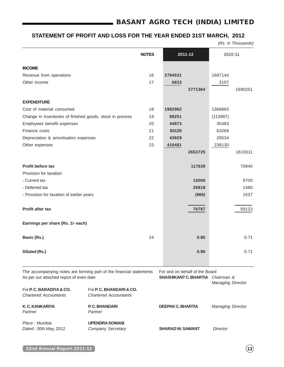# **BASANT AGRO TECH (INDIA) LIMITED**

# **STATEMENT OF PROFIT AND LOSS FOR THE YEAR ENDED 31ST MARCH, 2012**

(Rs. in Thousands)

|                                                                                                                |                                                          | <b>NOTES</b> |                                                                           | 2011-12 | 2010-11           |         |
|----------------------------------------------------------------------------------------------------------------|----------------------------------------------------------|--------------|---------------------------------------------------------------------------|---------|-------------------|---------|
| <b>INCOME</b>                                                                                                  |                                                          |              |                                                                           |         |                   |         |
| Revenue from operations                                                                                        |                                                          | 16           | 2764531                                                                   |         | 1687144           |         |
| Other income                                                                                                   |                                                          | 17           | 6833                                                                      |         | 3107              |         |
|                                                                                                                |                                                          |              |                                                                           | 2771364 |                   | 1690251 |
| <b>EXPENDITURE</b>                                                                                             |                                                          |              |                                                                           |         |                   |         |
| Cost of material consumed                                                                                      |                                                          | 18           | 1982962                                                                   |         | 1368883           |         |
| Change in Inventories of finished goods, stock in process                                                      |                                                          | 19           | 88251                                                                     |         | (113987)          |         |
| Employees benefit expenses                                                                                     |                                                          | 20           | 44973                                                                     |         | 35483             |         |
| Finance costs                                                                                                  |                                                          | 21           | 83129                                                                     |         | 63268             |         |
| Depreciation & amortisation expenses                                                                           |                                                          | 22           | 43929                                                                     |         | 29534             |         |
| Other expenses                                                                                                 |                                                          | 23           | 410481                                                                    |         | 236130            |         |
|                                                                                                                |                                                          |              |                                                                           | 2653725 |                   | 1619311 |
| <b>Profit before tax</b>                                                                                       |                                                          |              |                                                                           | 117639  |                   | 70940   |
| Provision for taxation                                                                                         |                                                          |              |                                                                           |         |                   |         |
| - Current tax                                                                                                  |                                                          |              |                                                                           | 15000   |                   | 8700    |
| - Deferred tax                                                                                                 |                                                          |              |                                                                           | 26818   |                   | 1480    |
| - Provision for taxation of earlier years                                                                      |                                                          |              |                                                                           | (966)   |                   | 1637    |
| Profit after tax                                                                                               |                                                          |              |                                                                           | 76787   |                   | 59123   |
| Earnings per share (Rs. 1/- each)                                                                              |                                                          |              |                                                                           |         |                   |         |
| Basic (Rs.)                                                                                                    |                                                          | 24           |                                                                           | 0.85    |                   | 0.71    |
| Diluted (Rs.)                                                                                                  |                                                          |              |                                                                           | 0.90    |                   | 0.71    |
| The accompanying notes are forming part of the financial statements<br>As per our attached report of even date |                                                          |              | For and on behalf of the Board<br><b>SHASHIKANT C. BHARTIA</b> Chairman & |         |                   |         |
| For P. C. BARADIYA & CO.<br><b>Chartered Accountants</b>                                                       | For P. C. BHANDARI & CO.<br><b>Chartered Accountants</b> |              |                                                                           |         | Managing Director |         |
| K.C. KANKARIYA<br>Partner                                                                                      | P.C. BHANDARI<br>Partner                                 |              | <b>DEEPAK C. BHARTIA</b>                                                  |         | Managing Director |         |
| Place: Mumbai<br>Dated: 30th May, 2012                                                                         | <b>UPENDRA SOMANI</b><br>Company Secretary               |              | <b>SHARAD W. SAWANT</b>                                                   |         | <b>Director</b>   |         |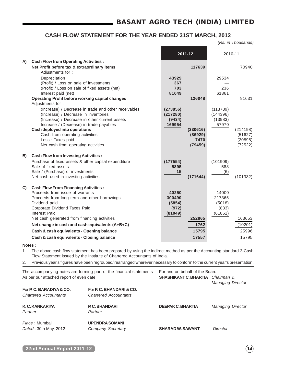# **CASH FLOW STATEMENT FOR THE YEAR ENDED 31ST MARCH, 2012**

(Rs. in Thousands)

|    |                                                                                          |                  | 2011-12  | 2010-11          |          |
|----|------------------------------------------------------------------------------------------|------------------|----------|------------------|----------|
| A) | <b>Cash Flow from Operating Activities:</b>                                              |                  |          |                  |          |
|    | Net Profit before tax & extraordinary items                                              |                  | 117639   |                  | 70940    |
|    | Adjustments for:                                                                         |                  |          |                  |          |
|    | Depreciation                                                                             | 43929            |          | 29534            |          |
|    | (Profit) / Loss on sale of investments                                                   | 367              |          |                  |          |
|    | (Profit) / Loss on sale of fixed assets (net)                                            | 703              |          | 236              |          |
|    | Interest paid (net)<br><b>Operating Profit before working capital changes</b>            | 81049            | 126048   | 61861            | 91631    |
|    | Adjustments for:                                                                         |                  |          |                  |          |
|    | (Increase) / Decrease in trade and other receivables                                     | (273856)         |          | (113789)         |          |
|    | (Increase) / Decrease in inventories                                                     | (217280)         |          | (144396)         |          |
|    | (Increase) / Decrease in other current assets<br>Increase / (Decrease) in trade payables | (9434)<br>169954 |          | (13983)<br>57970 |          |
|    | <b>Cash deployed into operations</b>                                                     |                  | (330616) |                  | (214198) |
|    | Cash from operating activities                                                           |                  | (86929)  |                  | (51627)  |
|    | Less : Taxes paid                                                                        |                  | 7470     |                  | (20895)  |
|    | Net cash from operating activities                                                       |                  | (79459)  |                  | (72522)  |
| B) | <b>Cash Flow from Investing Activities:</b>                                              |                  |          |                  |          |
|    | Purchase of fixed assets & other capital expenditure                                     | (177554)         |          | (101909)         |          |
|    | Sale of fixed assets                                                                     | 5895             |          | 583              |          |
|    | Sale / (Purchase) of investments                                                         | 15               |          | (6)              |          |
|    | Net cash used in investing activities                                                    |                  | (171644) |                  | (101332) |
| C) | <b>Cash Flow From Financing Activities:</b>                                              |                  |          |                  |          |
|    | Proceeds from issue of warrants                                                          | 40250            |          | 14000            |          |
|    | Proceeds from long term and other borrowings                                             | 300490           |          | 217365           |          |
|    | Dividend paid                                                                            | (5854)           |          | (5018)           |          |
|    | Corporate Dividend Taxes Paid<br>Interest Paid                                           | (972)<br>(81049) |          | (833)<br>(61861) |          |
|    | Net cash generated from financing activities                                             |                  | 252865   |                  | 163653   |
|    | Net change in cash and cash equivalents (A+B+C)                                          |                  | 1762     |                  | (10201)  |
|    | Cash & cash equivalents - Opening balance                                                |                  | 15795    |                  | 25996    |
|    |                                                                                          |                  |          |                  |          |
|    | Cash & cash equivalents - Closing balance                                                |                  | 17557    |                  | 15795    |

**Notes :**

- 1. The above cash flow statement has been prepared by using the indirect method as per the Accounting standard 3-Cash Flow Statement issued by the Institute of Chartered Accountants of India.
- 2. Previous year's figures have been regrouped/ rearranged wherever necessary to conform to the current year's presentation.

|                                         | The accompanying notes are forming part of the financial statements | For and on behalf of the Board          |                          |  |  |
|-----------------------------------------|---------------------------------------------------------------------|-----------------------------------------|--------------------------|--|--|
| As per our attached report of even date |                                                                     | <b>SHASHIKANT C. BHARTIA</b> Chairman & |                          |  |  |
|                                         |                                                                     |                                         | <b>Managing Director</b> |  |  |
| For <b>P. C. BARADIYA &amp; CO.</b>     | For <b>P. C. BHANDARI &amp; CO.</b>                                 |                                         |                          |  |  |
| <b>Chartered Accountants</b>            | <b>Chartered Accountants</b>                                        |                                         |                          |  |  |
| K.C. KANKARIYA                          | P.C. BHANDARI                                                       | <b>DEEPAK C. BHARTIA</b>                | <b>Managing Director</b> |  |  |
| Partner                                 | Partner                                                             |                                         |                          |  |  |
| Place: Mumbai                           | <b>UPENDRA SOMANI</b>                                               |                                         |                          |  |  |
| Dated: 30th May, 2012                   | Company Secretary                                                   | <b>SHARAD W. SAWANT</b>                 | Director                 |  |  |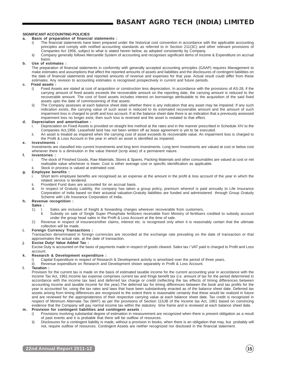#### **SIGNIFICANT ACCOUNTING POLICIES**

#### **a. Basis of preparation of financial statements :**

- The financial statements have been prepared under the historical cost convention in accordance with the applicable accounting principles and comply with notified accounting standards as referred to in Section 211(3C) and other relevant provisions of Companies Act 1956, subject to what is stated herein below, as adopted consistently by Company.
- ii) Company generally follows Mercantile System of accounting and recognises significant items of Income & Expenditure on accrual basis.

#### **b. Use of estimates :**

The preparation of financial statements in conformity with generally accepted accounting principles (GAAP) requires Management to make estimates and assumptions that affect the reported amounts of assets and liabilities and the disclosures of contingent liabilities on the date of financial statements and reported amounts of revenue and expenses for that year. Actual result could differ from these estimates. Any revision to accounting estimates is recognised prospectively in current and future periods.

#### **c. Fixed assets :**

- i) Fixed Assets are stated at cost of acquisition or construction less depreciation. In accordance with the provisions of AS-28, if the carrying amount of fixed assets exceeds the recoverable amount on the reporting date, the carrying amount is reduced to the recoverable amount. The cost of fixed assets includes interest on borrowings attributable to the acquisition of the said fixed assets upto the date of commissioning of that assets.
- ii) The Company assesses at each balance sheet date whether there is any indication that any asset may be impaired. If any such indication exists, the carrying value of such asset is reduced to its estimated recoverable amount and the amount of such impairment loss is charged to profit and loss account. If at the balance sheet date there is an indication that a previously assessed impairment loss no longer exist, then such loss is reversed and the asset is restated to that effect.

#### **d. Depreciation and amortisation :**

- Depreciation on Fixed Assets is provided on straight line method at the rates and in the manner prescribed in Schedule XIV to the Companies Act,1956. Leasehold land has not been written off as lease agreement is yet to be executed.
- ii. An asset is treated as impaired when the carrying cost of asset exceeds its recoverable value. An impairment loss is charged to the Profit & Loss Account in the year in which an asset is identified as impaired.

#### **e. Investments :**

Investments are classified into current Investments and long term Investments. Long term Investments are valued at cost or below cost whenever there is a diminution in the value thereof (scrip wise) of a permanent nature.

#### **f. Inventories :**

i. The stock of Finished Goods, Raw Materials, Stores & Spares, Packing Materials and other consumables are valued at cost or net realisable value whichever is lower. Cost is either average cost or specific identification as applicable.

#### Stock in process is valued at estimated cost.

#### **g. Employee benefits :**

- i. Short term employee benefits are recognised as an expense at the amount in the profit & loss account of the year in which the related service is tendered.
- ii. Provident Fund dues are accounted for on accrual basis.<br>iii. In respect of Gratuity Liability, the company has taken
- In respect of Gratuity Liability, the company has taken a group policy, premium whereof is paid annually to Life Insurance Corporation of India based on their actuarial valuation.Gratuity liabilities are funded and administered through Group Gratuity Scheme with Life Insurance Corporation of India.

#### **h. Revenue recognition :**

**Sales :**

- 1) I. Sales are inclusive of freight & forwarding charges wherever recoverable from customers.
	- II. Subsidy on sale of Single Super Phosphate fertilizers receivable from Ministry of fertilisers credited to subsidy account under the group head sales in the Profit & Loss Account at the time of sale.
- 2) Revenue in respect of insurance/other claims, interest etc. is recognised only when it is reasonably certain that the ultimate collection will be made.

#### **i. Foreign Currency Transactions :**

Transaction denominated in foreign currencies are recorded at the exchange rate prevailing on the date of transaction or that approximates the actual rate, at the date of transaction.

#### **j. Excise Duty/ Value Added Tax :**

Excise Duty is accounted on the basis of payments made in respect of goods cleared. Sales tax / VAT paid is charged to Profit and Loss account.

#### **k. Research & Development expenditure :**

- Capital Expenditure in respect of Research & Development activity is amortised over the period of three years.
- ii) Revenue expenditure on Research and Development shown separately in Profit & Loss Account.

#### **l. Taxation :**

Provision for the current tax is made on the basis of estimated taxable income for the current accounting year in accordance with the Income Tax Act, 1961.Income tax expense comprises current tax and fringe benefit tax (i.e. amount of tax for the period determined in accordance with the income tax law) and deferred tax charge or credit (reflecting the tax effects of timing differences between accounting income and taxable income for the year).The deferred tax for timing differences between the book and tax profits for the year is accounted for, using the tax rates and laws that have been substantively enacted as of the balance sheet date. Deferred tax assets arising from timing differences are recognized to the extent there is reasonable certainty that these would be realized in future and are reviewed for the appropriateness of their respective carrying value at each balance sheet date. Tax credit is recognized in respect of Minimum Alternate Tax (MAT) as per the provisions of Section 115JB of the Income tax Act, 1961 based on convincing evidence that the Company will pay normal income tax within the statutory time frame and is reviewed at each balance sheet date.

#### **m. Provision for contingent liabilities and contingent assets :**

- i) Provisions involving substantial degree of estimation in measurement are recognized when there is present obligation as a result of past events and it is probable that there will be outflow of resources.
- ii) Disclosures for a contingent liability is made, without a provision in books, when there is an obligation that may, but probably will not, require outflow of resources. Contingent Assets are neither recognized nor disclosed in the financial statement.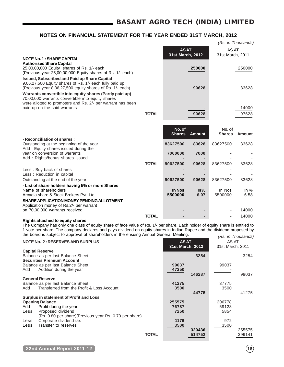|                                                                                                                                                                                                                                                                                                                                                                                                                                          |              |                                 |                 |                           | (Rs. in Thousands)          |
|------------------------------------------------------------------------------------------------------------------------------------------------------------------------------------------------------------------------------------------------------------------------------------------------------------------------------------------------------------------------------------------------------------------------------------------|--------------|---------------------------------|-----------------|---------------------------|-----------------------------|
|                                                                                                                                                                                                                                                                                                                                                                                                                                          |              | <b>ASAT</b><br>31st March, 2012 |                 | AS AT<br>31st March, 2011 |                             |
| <b>NOTE No. 1: SHARE CAPITAL</b><br><b>Authorised Share Capital</b><br>25,00,00,000 Equity shares of Rs. 1/- each<br>(Previous year 25,00,00,000 Equity shares of Rs. 1/- each)                                                                                                                                                                                                                                                          |              |                                 | 250000          |                           | 250000                      |
| <b>Issued, Subscribed and Paid up Share Capital</b><br>9,06,27,500 Equity shares of Rs. 1/- each fully paid up<br>(Previous year 8,36,27,500 equity shares of Rs. 1/- each)<br>Warrants convertible into equity shares (Partly paid up)<br>70,00,000 warrants convertible into equity shares                                                                                                                                             |              |                                 | 90628           |                           | 83628                       |
| were allotted to promoters and Rs. 2/- per warrant has been<br>paid up on the said warrants.                                                                                                                                                                                                                                                                                                                                             | <b>TOTAL</b> |                                 | 90628           |                           | 14000<br>97628              |
|                                                                                                                                                                                                                                                                                                                                                                                                                                          |              | No. of<br><b>Shares</b>         | <b>Amount</b>   | No. of<br><b>Shares</b>   | Amount                      |
| - Reconciliation of shares:<br>Outstanding at the beginning of the year                                                                                                                                                                                                                                                                                                                                                                  |              | 83627500                        | 83628           | 83627500                  | 83628                       |
| Add: Equity shares issued during the<br>year on conversion of warrants                                                                                                                                                                                                                                                                                                                                                                   |              | 7000000                         | 7000            |                           |                             |
| Add: Rights/bonus shares issued                                                                                                                                                                                                                                                                                                                                                                                                          | <b>TOTAL</b> | 90627500                        | 90628           | 83627500                  | 83628                       |
| Less: Buy back of shares<br>Less: Reduction in capital                                                                                                                                                                                                                                                                                                                                                                                   |              |                                 |                 |                           |                             |
| Outstanding at the end of the year                                                                                                                                                                                                                                                                                                                                                                                                       |              | 90627500                        | 90628           | 83627500                  | 83628                       |
| - List of share holders having 5% or more Shares<br>Name of shareholders<br>Arcadia share & Stock Brokers Pvt. Ltd.<br>SHARE APPLICATION MONEY PENDING ALLOTMENT<br>Application money of Rs.2/- per warrant                                                                                                                                                                                                                              |              | In Nos<br>5500000               | $ln\%$<br>6.07  | In Nos<br>5500000         | In $%$<br>6.58              |
| on 70,00,000 warrants received                                                                                                                                                                                                                                                                                                                                                                                                           |              |                                 |                 |                           | 14000                       |
| <b>Rights attached to equity shares</b><br>The Company has only one class of equity share of face value of Rs. 1/- per share. Each holder of equity share is entitled to<br>1 vote per share. The company declares and pays dividend on equity shares in Indian Rupee and the dividend proposed by<br>the board is subject to approval of shareholders in the ensuing Annual General Meeting.<br><b>NOTE No. 2: RESERVES AND SURPLUS</b> | <b>TOTAL</b> | <b>ASAT</b>                     |                 | AS AT                     | 14000<br>(Rs. in Thousands) |
| <b>Capital Reserve</b><br>Balance as per last Balance Sheet                                                                                                                                                                                                                                                                                                                                                                              |              | 31st March, 2012                | 3254            | 31st March, 2011          | 3254                        |
| <b>Securities Premium Account</b><br>Balance as per last Balance Sheet<br>Add : Addition during the year                                                                                                                                                                                                                                                                                                                                 |              | 99037<br>47250                  |                 | 99037                     |                             |
| <b>General Reserve</b><br>Balance as per last Balance Sheet<br>Add : Transferred from the Profit & Loss Account                                                                                                                                                                                                                                                                                                                          |              | 41275<br>3500                   | 146287<br>44775 | 37775<br>3500             | 99037<br>41275              |
| Surplus in statement of Profit and Loss<br><b>Opening Balance</b><br>Add : Profit during the year<br>Less: Proposed dividend<br>(Rs. 0.80 per share)(Previous year Rs. 0.70 per share)                                                                                                                                                                                                                                                   |              | 255575<br>76787<br>7250         |                 | 206778<br>59123<br>5854   |                             |
| Less: Corporate dividend tax                                                                                                                                                                                                                                                                                                                                                                                                             |              | 1176                            |                 | 972                       |                             |

Less : Transfer to reserves **3500** 3500

**TOTAL** 514752

**320436** 255575<br>514752 255575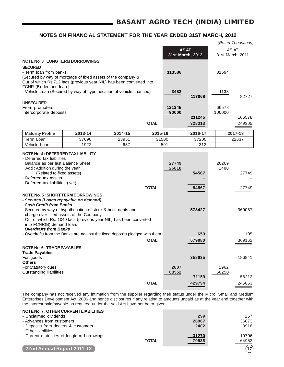|                                                                                                                                                                                                                                                                                                                                                                                                                                                                                                   |         |         |              |                |             |                          |               | (Rs. in Thousands)        |
|---------------------------------------------------------------------------------------------------------------------------------------------------------------------------------------------------------------------------------------------------------------------------------------------------------------------------------------------------------------------------------------------------------------------------------------------------------------------------------------------------|---------|---------|--------------|----------------|-------------|--------------------------|---------------|---------------------------|
|                                                                                                                                                                                                                                                                                                                                                                                                                                                                                                   |         |         |              |                | <b>ASAT</b> | 31st March, 2012         |               | AS AT<br>31st March, 2011 |
| <b>NOTE No. 3 : LONG TERM BORROWINGS</b>                                                                                                                                                                                                                                                                                                                                                                                                                                                          |         |         |              |                |             |                          |               |                           |
| <b>SECURED</b>                                                                                                                                                                                                                                                                                                                                                                                                                                                                                    |         |         |              |                |             |                          |               |                           |
| - Term loan from banks                                                                                                                                                                                                                                                                                                                                                                                                                                                                            |         |         |              | 113586         |             |                          | 81594         |                           |
| [Secured by way of mortgage of fixed assets of the company &                                                                                                                                                                                                                                                                                                                                                                                                                                      |         |         |              |                |             |                          |               |                           |
| Out of which Rs.712 lacs (previous year NIL) has been converted into                                                                                                                                                                                                                                                                                                                                                                                                                              |         |         |              |                |             |                          |               |                           |
| FCNR (B) demand loan.]                                                                                                                                                                                                                                                                                                                                                                                                                                                                            |         |         |              |                |             |                          |               |                           |
| - Vehicle Loan (Secured by way of hypothecation of vehicle financed)                                                                                                                                                                                                                                                                                                                                                                                                                              |         |         |              | 3482           |             |                          | 1133          |                           |
|                                                                                                                                                                                                                                                                                                                                                                                                                                                                                                   |         |         |              |                |             | 117068                   |               | 82727                     |
| <b>UNSECURED</b>                                                                                                                                                                                                                                                                                                                                                                                                                                                                                  |         |         |              |                |             |                          |               |                           |
| From promoters                                                                                                                                                                                                                                                                                                                                                                                                                                                                                    |         |         |              | 121245         |             |                          | 66578         |                           |
| Intercorporate deposits                                                                                                                                                                                                                                                                                                                                                                                                                                                                           |         |         |              | 90000          |             |                          | 100000        |                           |
|                                                                                                                                                                                                                                                                                                                                                                                                                                                                                                   |         |         |              |                |             | 211245                   |               | 166578                    |
|                                                                                                                                                                                                                                                                                                                                                                                                                                                                                                   |         |         | <b>TOTAL</b> |                |             | 328313                   |               | 249305                    |
| <b>Maturity Profile</b>                                                                                                                                                                                                                                                                                                                                                                                                                                                                           | 2013-14 | 2014-15 | 2015-16      |                |             | 2016-17                  |               | 2017-18                   |
| Term Loan                                                                                                                                                                                                                                                                                                                                                                                                                                                                                         | 37696   | 28951   | 31500        |                |             | 37200                    |               | 22637                     |
| Vehicle Loan                                                                                                                                                                                                                                                                                                                                                                                                                                                                                      | 1922    | 657     |              | 591            |             | 313                      |               |                           |
| - Deferred tax liabilities<br>Balance as per last Balance Sheet<br>Add: Addition during the year<br>(Related to fixed assets)<br>- Deferred tax assets<br>- Deferred tax liabilities (Net)<br><b>NOTE No. 5: SHORT TERM BORROWINGS</b><br>- Secured (Loans repayable on demand)<br><b>Cash Credit from Banks</b><br>- Secured by way of hypothecation of stock & book debts and<br>charge over fixed assets of the Company<br>- Out of which Rs. 1040 lacs (previous year NIL) has been converted |         |         | <b>TOTAL</b> | 27749<br>26818 |             | 54567<br>54567<br>578427 | 26269<br>1480 | 27749<br>27749<br>369057  |
| into FCNR(B) demand loan.<br><b>Overdrafts from Banks</b>                                                                                                                                                                                                                                                                                                                                                                                                                                         |         |         |              |                |             |                          |               |                           |
| - Overdrafts from the Banks are against the fixed deposits pledged with them                                                                                                                                                                                                                                                                                                                                                                                                                      |         |         |              |                |             | 653                      |               | 105                       |
|                                                                                                                                                                                                                                                                                                                                                                                                                                                                                                   |         |         | <b>TOTAL</b> |                |             | 579080                   |               | 369162                    |
| <b>NOTE No. 6: TRADE PAYABLES</b><br><b>Trade Payables</b><br>For goods                                                                                                                                                                                                                                                                                                                                                                                                                           |         |         |              |                |             | 358635                   |               | 186841                    |
| <b>Others</b>                                                                                                                                                                                                                                                                                                                                                                                                                                                                                     |         |         |              |                |             |                          |               |                           |
| For Statutory dues                                                                                                                                                                                                                                                                                                                                                                                                                                                                                |         |         |              | 2607           |             |                          | 1962          |                           |
| Outstanding liabilities                                                                                                                                                                                                                                                                                                                                                                                                                                                                           |         |         |              | 68552          |             |                          | 56250         |                           |
|                                                                                                                                                                                                                                                                                                                                                                                                                                                                                                   |         |         |              |                |             | 71159                    |               | 58212                     |
|                                                                                                                                                                                                                                                                                                                                                                                                                                                                                                   |         |         | <b>TOTAL</b> |                |             | 429794                   |               | 245053                    |
|                                                                                                                                                                                                                                                                                                                                                                                                                                                                                                   |         |         |              |                |             |                          |               |                           |

The company has not received any intimation from the supplier regarding their status under the Micro, Small and Medium Enterprises Development Act, 2006 and hence disclosures if any relating to amounts unpaid as at the year end together with the interest paid/payable as required under the said Act have not been given.

| NOTE No. 7 : OTHER CURRENT LIABILITIES    |              |       |       |
|-------------------------------------------|--------------|-------|-------|
| - Unclaimed dividends                     |              | 299   | 257   |
| - Advances from customers                 |              | 26967 | 36073 |
| - Deposits from dealers & customers       |              | 12402 | 8916  |
| - Other liabilities                       |              |       |       |
| Current maturities of longterm borrowings |              | 31270 | 19706 |
|                                           | <b>TOTAL</b> | 70938 | 64952 |
|                                           |              |       |       |
| 22nd Annual Report 2011-12                |              |       | 17    |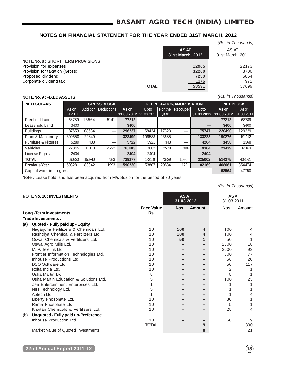|                                          |              |                                 | (Rs. in Thousands)        |
|------------------------------------------|--------------|---------------------------------|---------------------------|
|                                          |              | <b>ASAT</b><br>31st March, 2012 | AS AT<br>31st March, 2011 |
| <b>NOTE No. 8: SHORT TERM PROVISIONS</b> |              |                                 |                           |
| Provision for expenses                   |              | 12965                           | 22173                     |
| Provision for taxation (Gross)           |              | 32200                           | 8700                      |
| Proposed dividend                        |              | 7250                            | 5854                      |
| Corporate dividend tax                   |              | 1176                            | 972                       |
|                                          | <b>TOTAL</b> | 53591                           | 37699                     |

## **NOTE No. 9 : FIXED ASSETS**

(Rs. in Thousands)

| <b>PARTICULARS</b>              | <b>DEPRECIATION/AMORTISATION</b><br><b>GROSS BLOCK</b> |          |                          |        |                       |         | <b>NET BLOCK</b> |             |                                  |        |
|---------------------------------|--------------------------------------------------------|----------|--------------------------|--------|-----------------------|---------|------------------|-------------|----------------------------------|--------|
|                                 | As on                                                  | Addition | <b>Deductions</b>        | As on  | Upto                  | For the | Recouped         | <b>Upto</b> | As on                            | Ason   |
|                                 | 1.4.2011                                               |          |                          |        | 31.03.2012 31.03.2011 | year    |                  |             | 31.03.2012 31.03.2012 31.03.2011 |        |
| Freehold Land                   | 68789                                                  | 13564    | 5141                     | 77212  |                       |         |                  | –           | 77212                            | 68789  |
| Leasehold Land                  | 3400                                                   |          |                          | 3400   |                       |         |                  | –           | 3400                             | 3400   |
| <b>Buildings</b>                | 187653                                                 | 108584   | –                        | 296237 | 58424                 | 17323   |                  | 75747       | 220490                           | 129229 |
| Plant & Machinery               | 300650                                                 | 22849    | –                        | 323499 | 109538                | 23685   |                  | 133223      | 190276                           | 191112 |
| <b>Furniture &amp; Fixtures</b> | 5289                                                   | 433      |                          | 5722   | 3921                  | 343     |                  | 4264        | 1458                             | 1368   |
| Vehicles                        | 22045                                                  | 11310    | 2552                     | 30803  | 7882                  | 2578    | 1096             | 9364        | 21439                            | 14163  |
| License Rights                  | 2404                                                   | -        | $\overline{\phantom{0}}$ | 2404   | 2404                  | -       | -                | 2404        |                                  |        |
| <b>TOTAL</b>                    | 590230                                                 | 156740   | 7693                     | 739277 | 182169                | 43929   | 1096             | 225002      | 514275                           | 408061 |
| <b>Previous Year</b>            | 508281                                                 | 83942    | 1993                     | 590230 | 153807                | 29534   | 1172             | 182169      | 408061                           | 354474 |
| Capital work-in progress        |                                                        |          |                          |        |                       |         |                  |             | 68564                            | 47750  |

**Note :** Lease hold land has been acquired from M/s Suzlon for the period of 30 years.

(Rs. in Thousands)

|     | <b>NOTE No. 10: INVESTMENTS</b>        |                          | <b>ASAT</b><br>31.03.2012 |        | <b>ASAT</b><br>31.03.2011 |                 |
|-----|----------------------------------------|--------------------------|---------------------------|--------|---------------------------|-----------------|
|     | <b>Long-Term Investments</b>           | <b>Face Value</b><br>Rs. | Nos.                      | Amount | Nos.                      | Amount          |
|     | Trade Investments:                     |                          |                           |        |                           |                 |
| (a) | Quoted - Fully paid up - Equity        |                          |                           |        |                           |                 |
|     | Nagarjuna Fertilizers & Chemicals Ltd. | 10                       | 100                       | 4      | 100                       | 4               |
|     | Rashtriya Chemical & Fertilizers Ltd.  | 10                       | 100                       | 4      | 100                       | 4               |
|     | Oswal Chemicals & Fertilizers Ltd.     | 10                       | 50                        | 1      | 50                        |                 |
|     | Oswal Agro Mills Ltd.                  | 10                       |                           |        | 2500                      | 18              |
|     | M. P. Telelink Ltd.                    | 10                       |                           |        | 2000                      | 93              |
|     | Frontier Information Technologies Ltd. | 10                       |                           |        | 300                       | 77              |
|     | Inhouse Productions Ltd.               | 10                       |                           |        | 56                        | 20              |
|     | DSO Software Ltd.                      | 10                       |                           |        | 50                        | 117             |
|     | Rolta India Ltd.                       | 10                       |                           |        | 2                         |                 |
|     | Usha Martin Ltd.                       | 5                        |                           |        | 5                         |                 |
|     | Usha Martin Education & Solutions Ltd. | 5                        |                           |        | 100                       | 23              |
|     | Zee Entertainment Enterprises Ltd.     |                          |                           |        |                           |                 |
|     | NIIT Technology Ltd.                   | 5                        |                           |        |                           |                 |
|     | Aptech Ltd.                            |                          |                           |        |                           |                 |
|     | Liberty Phosphate Ltd.                 | 10                       |                           |        | 30                        |                 |
|     | Rama Phosphate Ltd.                    | 10                       |                           |        | 5                         |                 |
|     | Khaitan Chemicals & Fertilisers Ltd.   | 10                       |                           |        | 25                        | 4               |
| (b) | Unquoted - Fully paid up-Preference    |                          |                           |        |                           |                 |
|     | Inhouse Production Ltd.                | 10                       |                           |        | 50                        | 19              |
|     |                                        | <b>TOTAL</b>             |                           | 9      |                           | 390             |
|     | Market Value of Quoted Investments     |                          |                           | 8      |                           | $\overline{21}$ |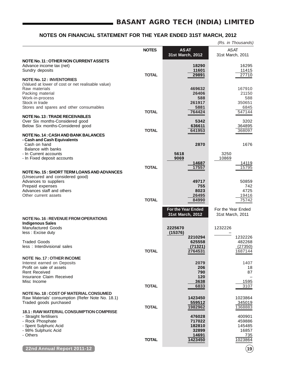|                                                                                            |              |                                 | (Rs. in Thousands)              |
|--------------------------------------------------------------------------------------------|--------------|---------------------------------|---------------------------------|
|                                                                                            | <b>NOTES</b> | <b>ASAT</b><br>31st March, 2012 | <b>ASAT</b><br>31st March, 2011 |
| NOTE No. 11 : OTHER NON CURRENT ASSETS                                                     |              |                                 |                                 |
| Advance income tax (net)                                                                   |              | 18290                           | 16295                           |
| Sundry deposits                                                                            | <b>TOTAL</b> | 11601<br>29891                  | 11415<br>27710                  |
| <b>NOTE No. 12: INVENTORIES</b>                                                            |              |                                 |                                 |
| (Valued at lower of cost or net realisable value)                                          |              |                                 |                                 |
| Raw materials                                                                              |              | 469632                          | 167910                          |
| Packing material                                                                           |              | 26406                           | 21150                           |
| Work-in-process                                                                            |              | 588                             | 588                             |
| Stock in trade                                                                             |              | 261917                          | 350651                          |
| Stores and spares and other consumables                                                    | <b>TOTAL</b> | 5881<br>764424                  | 6845<br>547144                  |
| NOTE No. 13: TRADE RECEIVABLES                                                             |              |                                 |                                 |
| Over Six months-Considered good                                                            |              | 5342                            | 3202                            |
| Below Six months-Considered good                                                           |              | 636611                          | 364895                          |
|                                                                                            | <b>TOTAL</b> | 641953                          | 368097                          |
| <b>NOTE No. 14: CASH AND BANK BALANCES</b>                                                 |              |                                 |                                 |
| - Cash and Cash Equivalents<br>Cash on hand                                                |              | 2870                            | 1676                            |
| Balance with banks                                                                         |              |                                 |                                 |
| - In Current accounts                                                                      |              | 5618                            | 3250                            |
| - In Fixed deposit accounts                                                                |              | 9069                            | 10869                           |
|                                                                                            |              | 14687                           | 14119                           |
|                                                                                            | <b>TOTAL</b> | 17557                           | 15795                           |
| NOTE No. 15 : SHORT TERM LOANS AND ADVANCES<br>(Unsecured and considered good)             |              |                                 |                                 |
| Advances to suppliers                                                                      |              | 49717                           | 50859                           |
| Prepaid expenses                                                                           |              | 755                             | 742                             |
| Advances staff and others                                                                  |              | 8023                            | 4725                            |
| Other current assets                                                                       |              | 26495                           | 19416                           |
|                                                                                            | <b>TOTAL</b> | 84990                           | 75742                           |
|                                                                                            |              | <b>For the Year Ended</b>       | For the Year Ended              |
|                                                                                            |              | 31st March, 2012                | 31st March, 2011                |
| <b>NOTE No. 16: REVENUE FROM OPERATIONS</b>                                                |              |                                 |                                 |
| <b>Indigenous Sales</b>                                                                    |              |                                 |                                 |
| <b>Manufactured Goods</b>                                                                  |              | 2225670                         | 1232226                         |
| less: Excise duty                                                                          |              | (15376)<br>2210294              | 1232226                         |
| Traded Goods                                                                               |              | 625558                          | 482268                          |
| less: Interdivisional sales                                                                |              | (71321)                         | (27350)                         |
|                                                                                            | <b>TOTAL</b> | 2764531                         | 1687144                         |
| <b>NOTE No. 17: OTHER INCOME</b>                                                           |              |                                 |                                 |
| Interest earned on Deposits                                                                |              | 2079                            | 1407                            |
| Profit on sale of assets                                                                   |              | 206                             | 18                              |
| <b>Rent Received</b>                                                                       |              | 790                             | 87                              |
| Insurance Claim Received                                                                   |              | 120                             |                                 |
| Misc Income                                                                                | <b>TOTAL</b> | 3638<br>6833                    | 1595<br>3107                    |
|                                                                                            |              |                                 |                                 |
| NOTE No. 18: COST OF MATERIAL CONSUMED<br>Raw Materials' consumption (Refer Note No. 18.1) |              | 1423450                         | 1023864                         |
| Traded goods purchased                                                                     |              | 559512                          | 345019                          |
|                                                                                            | <b>TOTAL</b> | 1982962                         | 1368883                         |
| 18.1 : RAW MATERIAL CONSUMPTION COMPRISE                                                   |              |                                 |                                 |
| - Straight fertilisers                                                                     |              | 476028                          | 400901                          |
| - Rock Phosphate                                                                           |              | 717022                          | 459886                          |
| - Spent Sulphuric Acid<br>- 98% Sulphuric Acid                                             |              | 182810<br>32899                 | 145485<br>16857                 |
| - Others                                                                                   |              | 14691                           | 735                             |
|                                                                                            | <b>TOTAL</b> | 1423450                         | 1023864                         |
|                                                                                            |              |                                 |                                 |
| 22nd Annual Report 2011-12                                                                 |              |                                 | $\bf (19)$                      |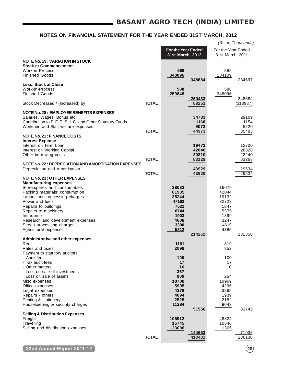|                                                             |              |                                               |                 |                                        | (Rs. in Thousands) |
|-------------------------------------------------------------|--------------|-----------------------------------------------|-----------------|----------------------------------------|--------------------|
|                                                             |              | <b>For the Year Ended</b><br>31st March, 2012 |                 | For the Year Ended<br>31st March, 2011 |                    |
| <b>NOTE No. 19 : VARIATION IN STOCK</b>                     |              |                                               |                 |                                        |                    |
| <b>Stock at Commencement</b>                                |              |                                               |                 |                                        |                    |
| <b>Work-in Process</b><br><b>Finished Goods</b>             |              | 588<br>348096                                 |                 | 588                                    |                    |
|                                                             |              |                                               | 348684          | 234109                                 | 234697             |
| <b>Less: Stock at Close</b>                                 |              |                                               |                 |                                        |                    |
| <b>Work-in-Process</b>                                      |              | 588                                           |                 | 588                                    |                    |
| <b>Finished Goods</b>                                       |              | 259845                                        |                 | 348096                                 |                    |
| Stock Decreased / (Increased) by                            | <b>TOTAL</b> |                                               | 260433<br>88251 |                                        | 348684<br>(113987) |
| NOTE No. 20 : EMPLOYEE BENEFITS EXPENSES                    |              |                                               |                 |                                        |                    |
| Salaries, Wages, Bonus etc.                                 |              |                                               | 34733           |                                        | 29109              |
| Contribution to P. F, E. S. I. C. and Other Statutory Funds |              |                                               | 1168            |                                        | 1154               |
| Workmen and Staff welfare expenses                          |              |                                               | 9072            |                                        | 5220               |
| <b>NOTE No. 21 : FINANCE COSTS</b>                          | <b>TOTAL</b> |                                               | 44973           |                                        | 35483              |
| <b>Interest Expense</b>                                     |              |                                               |                 |                                        |                    |
| Interest on Term Loan                                       |              |                                               | 19473           |                                        | 12700              |
| Interest on Working Capital                                 |              |                                               | 42846           |                                        | 28328              |
| Other borrowing costs                                       |              |                                               | 20810           |                                        | 22240              |
|                                                             | <b>TOTAL</b> |                                               | 83129           |                                        | 63268              |
| NOTE No. 22 : DEPRECIATION AND AMORTISATION EXPENSES        |              |                                               |                 |                                        |                    |
| Depreciation and Amortisation                               | <b>TOTAL</b> |                                               | 43929<br>43929  |                                        | 29534<br>29534     |
| <b>NOTE No. 23: OTHER EXPENSES</b>                          |              |                                               |                 |                                        |                    |
| <b>Manufacturing expenses</b>                               |              |                                               |                 |                                        |                    |
| Store, spares and consumables                               |              | 38032                                         |                 | 16079                                  |                    |
| Packing materials' consumption                              |              | 61935                                         |                 | 42044                                  |                    |
| Labour and processing charges<br>Power and fuels            |              | 35244<br>47162                                |                 | 19132<br>32723                         |                    |
| Repairs to buildings                                        |              | 7522                                          |                 | 1847                                   |                    |
| Repairs to machinery                                        |              | 8744                                          |                 | 5375                                   |                    |
| Insurance                                                   |              | 1903                                          |                 | 1899                                   |                    |
| Research and development expenses                           |              | 4608                                          |                 | 3247                                   |                    |
| Seeds processing charges                                    |              | 3300                                          |                 | 4619                                   |                    |
| Agricultural expenses                                       |              | 5812                                          | 214262          | 4385                                   | 131350             |
| <b>Administrative and other expenses</b>                    |              |                                               |                 |                                        |                    |
| Rent                                                        |              | 1161                                          |                 | 819                                    |                    |
| Rates and taxes                                             |              | 2098                                          |                 | 852                                    |                    |
| Payment to statutory auditors                               |              |                                               |                 |                                        |                    |
| - Audit fees                                                |              | 100                                           |                 | 100                                    |                    |
| - Tax audit fees<br>- Other matters                         |              | 17<br>10                                      |                 | 17<br>10                               |                    |
| Loss on sale of investments                                 |              | 367                                           |                 |                                        |                    |
| Loss on sale of assets                                      |              | 909                                           |                 | 254                                    |                    |
| Misc expenses                                               |              | 18708                                         |                 | 10969                                  |                    |
| Office expenses                                             |              | 5905                                          |                 | 4296                                   |                    |
| Legal expenses<br>Repairs - others                          |              | 4378<br>4094                                  |                 | 3265<br>1939                           |                    |
| Printing & stationery                                       |              | 2525                                          |                 | 2182                                   |                    |
| Housekeeping & security charges                             |              | 11284                                         |                 | 9042                                   |                    |
|                                                             |              |                                               | 51556           |                                        | 33745              |
| <b>Selling &amp; Distribution Expenses</b>                  |              |                                               |                 |                                        |                    |
| Freight                                                     |              | 105912<br>15745                               |                 | 48824<br>10846                         |                    |
| Travelling<br>Selling and distribution expenses             |              | 23006                                         |                 | 11365                                  |                    |
|                                                             |              |                                               | 144663          |                                        | 71035              |
|                                                             | <b>TOTAL</b> |                                               | 410481          |                                        | 236130             |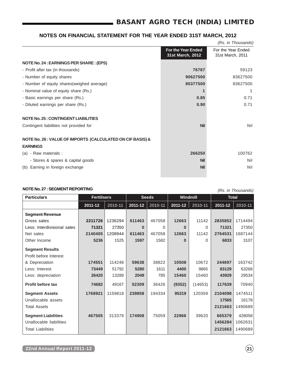# **BASANT AGRO TECH (INDIA) LIMITED**

## **NOTES ON FINANCIAL STATEMENT FOR THE YEAR ENDED 31ST MARCH, 2012**

|                                               | (Rs. in Thousands)                     |
|-----------------------------------------------|----------------------------------------|
| <b>For the Year Ended</b><br>31st March, 2012 | For the Year Ended<br>31st March, 2011 |
|                                               |                                        |
| 76787                                         | 59123                                  |
| 90627500                                      | 83627500                               |
| 85377500                                      | 83627500                               |
|                                               | 1                                      |
| 0.85                                          | 0.71                                   |
| 0.90                                          | 0.71                                   |
|                                               |                                        |
| <b>Nil</b>                                    | Nil                                    |
|                                               |                                        |
|                                               |                                        |
| 266250                                        | 100762                                 |
| <b>Nil</b>                                    | Nil                                    |
| <b>Nil</b>                                    | Nil                                    |
|                                               |                                        |

## **NOTE No. 27 : SEGMENT REPORTING** (Rs. in Thousands)

|                             | <b>Fertilisers</b> |         | <b>Seeds</b> |         | Windmill |         | <b>Total</b> |         |
|-----------------------------|--------------------|---------|--------------|---------|----------|---------|--------------|---------|
| <b>Particulars</b>          |                    |         |              |         |          |         |              |         |
|                             | 2011-12            | 2010-11 | $2011 - 12$  | 2010-11 | 2011-12  | 2010-11 | 2011-12      | 2010-11 |
| <b>Segment Revenue</b>      |                    |         |              |         |          |         |              |         |
| Gross sales                 | 2211726            | 1236294 | 611463       | 467058  | 12663    | 11142   | 2835852      | 1714494 |
| Less: Interdivisional sales | 71321              | 27350   | $\bf{0}$     | 0       | $\Omega$ | 0       | 71321        | 27350   |
| Net sales                   | 2140405            | 1208944 | 611463       | 467058  | 12663    | 11142   | 2764531      | 1687144 |
| Other Income                | 5236               | 1525    | 1597         | 1582    | $\Omega$ | 0       | 6833         | 3107    |
| <b>Segment Results</b>      |                    |         |              |         |          |         |              |         |
| Profit before Interest      |                    |         |              |         |          |         |              |         |
| & Depreciation              | 174551             | 114248  | 59638        | 38822   | 10508    | 10672   | 244697       | 163742  |
| Less: Interest              | 73449              | 51792   | 5280         | 1611    | 4400     | 9865    | 83129        | 63268   |
| Less: depreciation          | 26420              | 13289   | 2049         | 785     | 15460    | 15460   | 43929        | 29534   |
| <b>Profit before tax</b>    | 74682              | 49167   | 52309        | 36426   | (9352)   | (14653) | 117639       | 70940   |
| <b>Segment Assets</b>       | 1768921            | 1159818 | 239858       | 194334  | 95319    | 120359  | 2104098      | 1474511 |
| Unallocable assets          |                    |         |              |         |          |         | 17565        | 16178   |
| Total Assets                |                    |         |              |         |          |         | 2121663      | 1490689 |
| <b>Segment Liabilities</b>  | 467505             | 313379  | 174908       | 75059   | 22966    | 39620   | 665379       | 428058  |
| Unallocable liabilities     |                    |         |              |         |          |         | 1456284      | 1062631 |
| <b>Total Liabilities</b>    |                    |         |              |         |          |         | 2121663      | 1490689 |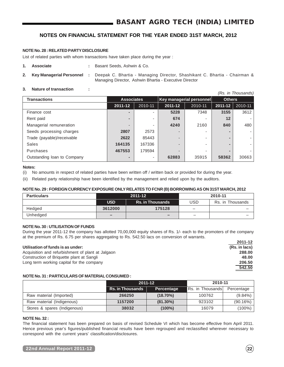### **NOTE No. 28 : RELATED PARTY DISCLOSURE**

List of related parties with whom transactions have taken place during the year :

- **1. Associate :** Basant Seeds, Ashwin & Co.
- **2. Key Managerial Personnel :** Deepak C. Bhartia Managing Director, Shashikant C. Bhartia Chairman & Managing Director, Ashwin Bhartia - Executive Director

#### **3. Nature of transaction :**

(Rs. in Thousands)

| <b>Transactions</b>         | <b>Associates</b>        |         |                          | Key managerial personnel | <b>Others</b> |         |
|-----------------------------|--------------------------|---------|--------------------------|--------------------------|---------------|---------|
|                             | 2011-12                  | 2010-11 | 2011-12                  | 2010-11                  | 2011-12       | 2010-11 |
| Finance cost                | -                        |         | 5228                     | 7348                     | 3155          | 3612    |
| Rent paid                   |                          | ۰       | 674                      |                          | 12            |         |
| Managerial remuneration     | $\overline{\phantom{0}}$ | ۰       | 4240                     | 2160                     | 840           | 480     |
| Seeds processing charges    | 2807                     | 2573    | $\overline{\phantom{0}}$ |                          |               |         |
| Trade (payable)/receivable  | 2622                     | 85443   | $\overline{\phantom{0}}$ |                          |               |         |
| Sales                       | 164135                   | 167336  | $\overline{\phantom{0}}$ |                          |               |         |
| Purchases                   | 467553                   | 179594  | $\overline{a}$           |                          |               |         |
| Outstanding loan to Company | $\blacksquare$           | ۰       | 62883                    | 35915                    | 58362         | 30663   |

#### **Notes:**

(i) No amounts in respect of related parties have been written off / written back or provided for during the year.

(ii) Related party relationship have been identified by the management and relied upon by the auditors.

#### **NOTE No. 29 : FOREIGN CURRENCY EXPOSURE ONLY RELATES TO FCNR (B) BORROWING AS ON 31ST MARCH, 2012**

| <b>Particulars</b> |                          | 2011-12                  | 2010-11                  |                  |  |
|--------------------|--------------------------|--------------------------|--------------------------|------------------|--|
|                    | <b>USD</b>               | <b>Rs. in Thousands</b>  | USD                      | Rs. in Thousands |  |
| Hedged             | 3612000                  | 175128                   | $\overline{\phantom{0}}$ |                  |  |
| Unhedged           | $\overline{\phantom{0}}$ | $\overline{\phantom{0}}$ | $\overline{\phantom{0}}$ | -                |  |

## **NOTE No. 30 : UTILISATION OF FUNDS**

During the year 2011-12 the company has allotted 70,00,000 equity shares of Rs. 1/- each to the promoters of the company at the premium of Rs. 6.75 per shares aggregating to Rs. 542.50 lacs on conversion of warrants.

#### **Utilisation of funds is as under: (Rs. in lacs)**

Acquisition and refurbishment of plant at Jalgaon **288.00** Construction of Briquette plant at Sangli **48.00** Long term working capital for the company **206.50**

# **NOTE No. 31 : PARTICULARS OF MATERIAL CONSUMED :**

|                              |                                       | 2011-12     | 2010-11          |            |  |
|------------------------------|---------------------------------------|-------------|------------------|------------|--|
|                              | <b>Rs. in Thousands</b><br>Percentage |             | Rs. in Thousands | Percentage |  |
| Raw material (Imported)      | 266250                                | $(18.70\%)$ | 100762           | $(9.84\%)$ |  |
| Raw material (Indigenous)    | 1157200                               | $(81.30\%)$ | 923102           | (90.16%)   |  |
| Stores & spares (Indigenous) | 38032                                 | $(100\%)$   | 16079            | $(100\%)$  |  |

## **NOTE No. 32 :**

The financial statement has been prepared on basis of revised Schedule VI which has become effective from April 2011. Hence previous year's figures/published financial results have been regrouped and reclassified wherever necessary to correspond with the current years' classification/disclosures.

**2011-12**

**542.50**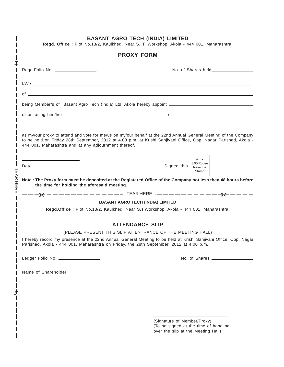|                     | <b>BASANT AGRO TECH (INDIA) LIMITED</b><br>Regd. Office: Plot No.13/2, Kaulkhed, Near S. T. Workshop, Akola - 444 001, Maharashtra.                                                                                                                                                        |
|---------------------|--------------------------------------------------------------------------------------------------------------------------------------------------------------------------------------------------------------------------------------------------------------------------------------------|
|                     | <b>PROXY FORM</b>                                                                                                                                                                                                                                                                          |
| $\mathsf{X}$        | Regd.Folio No. ____________________                                                                                                                                                                                                                                                        |
|                     |                                                                                                                                                                                                                                                                                            |
|                     | of $\overline{\phantom{a}}$                                                                                                                                                                                                                                                                |
|                     | being Member/s of Basant Agro Tech (India) Ltd, Akola hereby appoint _______________________________                                                                                                                                                                                       |
|                     |                                                                                                                                                                                                                                                                                            |
|                     | as my/our proxy to attend and vote for me/us on my/our behalf at the 22nd Annual General Meeting of the Company<br>to be held on Friday 28th September, 2012 at 4.00 p.m. at Krishi Sanjivani Office, Opp. Nagar Parishad, Akola -<br>444 001, Maharashtra and at any adjournment thereof. |
|                     | Affix<br>1.00 Rupee<br>Date<br>Signed this<br>Revenue<br>Stamp                                                                                                                                                                                                                             |
| <b>TEAR HE</b><br>꼬 | Note: The Proxy form must be deposited at the Registered Office of the Company not less than 48 hours before<br>the time for holding the aforesaid meeting.                                                                                                                                |
|                     |                                                                                                                                                                                                                                                                                            |
|                     | <b>BASANT AGRO TECH (INDIA) LIMITED</b><br>Regd.Office: Plot No.13/2, Kaulkhed, Near S.T.Workshop, Akola - 444 001, Maharashtra.                                                                                                                                                           |
|                     | <b>ATTENDANCE SLIP</b>                                                                                                                                                                                                                                                                     |
|                     | (PLEASE PRESENT THIS SLIP AT ENTRANCE OF THE MEETING HALL)                                                                                                                                                                                                                                 |
|                     | I hereby record my presence at the 22nd Annual General Meeting to be held at Krishi Sanjivani Office, Opp. Nagar<br>Parishad, Akola - 444 001, Maharashtra on Friday, the 28th September, 2012 at 4:00 p.m.                                                                                |
|                     | Ledger Folio No. __________________                                                                                                                                                                                                                                                        |
|                     | Name of Shareholder                                                                                                                                                                                                                                                                        |
|                     |                                                                                                                                                                                                                                                                                            |
|                     |                                                                                                                                                                                                                                                                                            |
|                     |                                                                                                                                                                                                                                                                                            |
|                     |                                                                                                                                                                                                                                                                                            |
|                     | (Signature of Member/Proxy)<br>(To be signed at the time of handling<br>over the slip at the Meeting Hall)                                                                                                                                                                                 |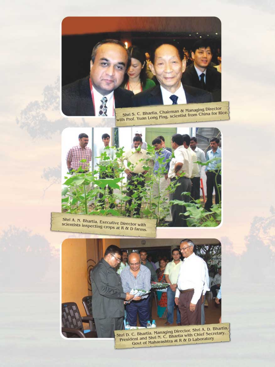

Shri S. C. Bhartia, Chairman & Managing Director<br>with Prof. Yuan Long Ping, scientist from China for Rice.



Shri A. N. Bhartia, Executive Director with<br>scientists inspecting crops at R & D farms.